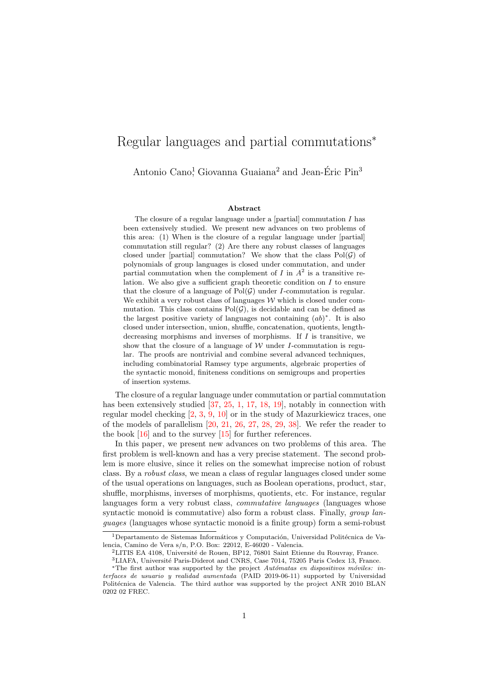# Regular languages and partial commutations<sup>∗</sup>

Antonio Cano<sup>1</sup>, Giovanna Guaiana<sup>2</sup> and Jean-Éric Pin<sup>3</sup>

#### Abstract

The closure of a regular language under a [partial] commutation  $I$  has been extensively studied. We present new advances on two problems of this area: (1) When is the closure of a regular language under [partial] commutation still regular? (2) Are there any robust classes of languages closed under [partial] commutation? We show that the class  $Pol(\mathcal{G})$  of polynomials of group languages is closed under commutation, and under partial commutation when the complement of  $I$  in  $A^2$  is a transitive relation. We also give a sufficient graph theoretic condition on  $I$  to ensure that the closure of a language of  $Pol(\mathcal{G})$  under *I*-commutation is regular. We exhibit a very robust class of languages  $W$  which is closed under commutation. This class contains  $Pol(\mathcal{G})$ , is decidable and can be defined as the largest positive variety of languages not containing  $(ab)^*$ . It is also closed under intersection, union, shuffle, concatenation, quotients, lengthdecreasing morphisms and inverses of morphisms. If  $I$  is transitive, we show that the closure of a language of  $W$  under I-commutation is regular. The proofs are nontrivial and combine several advanced techniques, including combinatorial Ramsey type arguments, algebraic properties of the syntactic monoid, finiteness conditions on semigroups and properties of insertion systems.

The closure of a regular language under commutation or partial commutation has been extensively studied [\[37,](#page-30-0) [25,](#page-30-1) [1,](#page-28-0) [17,](#page-29-0) [18,](#page-29-1) [19\]](#page-29-2), notably in connection with regular model checking [\[2,](#page-28-1) [3,](#page-28-2) [9,](#page-29-3) [10\]](#page-29-4) or in the study of Mazurkiewicz traces, one of the models of parallelism [\[20,](#page-29-5) [21,](#page-29-6) [26,](#page-30-2) [27,](#page-30-3) [28,](#page-30-4) [29,](#page-30-5) [38\]](#page-31-0). We refer the reader to the book  $[16]$  and to the survey  $[15]$  for further references.

In this paper, we present new advances on two problems of this area. The first problem is well-known and has a very precise statement. The second problem is more elusive, since it relies on the somewhat imprecise notion of robust class. By a robust class, we mean a class of regular languages closed under some of the usual operations on languages, such as Boolean operations, product, star, shuffle, morphisms, inverses of morphisms, quotients, etc. For instance, regular languages form a very robust class, *commutative languages* (languages whose syntactic monoid is commutative) also form a robust class. Finally, *group lan*guages (languages whose syntactic monoid is a finite group) form a semi-robust

<sup>&</sup>lt;sup>1</sup>Departamento de Sistemas Informáticos y Computación, Universidad Politécnica de Valencia, Camino de Vera s/n, P.O. Box: 22012, E-46020 - Valencia.

 ${}^{2}$ LITIS EA 4108, Université de Rouen, BP12, 76801 Saint Etienne du Rouvray, France.

 $^3{\rm LIAFA},$  Université Paris-Diderot and CNRS, Case 7014, 75205 Paris Cedex 13, France. \*The first author was supported by the project Autómatas en dispositivos móviles: in-

terfaces de usuario y realidad aumentada (PAID 2019-06-11) supported by Universidad Politécnica de Valencia. The third author was supported by the project ANR 2010 BLAN 0202 02 FREC.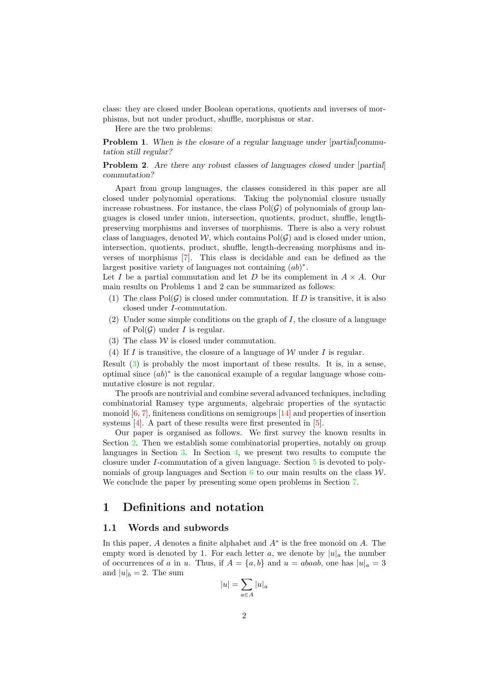class: they are closed under Boolean operations, quotients and inverses of morphisms, but not under product, shuffle, morphisms or star.

Here are the two problems:

Problem 1. When is the closure of a regular language under [partial]commutation still regular?

**Problem 2.** Are there any robust classes of languages closed under [partial] commutation?

Apart from group languages, the classes considered in this paper are all closed under polynomial operations. Taking the polynomial closure usually increase robustness. For instance, the class  $Pol(\mathcal{G})$  of polynomials of group languages is closed under union, intersection, quotients, product, shuffle, lengthpreserving morphisms and inverses of morphisms. There is also a very robust class of languages, denoted W, which contains  $Pol(\mathcal{G})$  and is closed under union, intersection, quotients, product, shuffle, length-decreasing morphisms and inverses of morphisms [\[7\]](#page-29-9). This class is decidable and can be defined as the largest positive variety of languages not containing  $(ab)^*$ .

Let I be a partial commutation and let D be its complement in  $A \times A$ . Our main results on Problems 1 and 2 can be summarized as follows:

- (1) The class  $Pol(\mathcal{G})$  is closed under commutation. If D is transitive, it is also closed under I-commutation.
- (2) Under some simple conditions on the graph of  $I$ , the closure of a language of  $Pol(G)$  under I is regular.
- <span id="page-1-0"></span>(3) The class  $W$  is closed under commutation.
- (4) If I is transitive, the closure of a language of W under I is regular.

Result [\(3\)](#page-1-0) is probably the most important of these results. It is, in a sense, optimal since  $(ab)^*$  is the canonical example of a regular language whose commutative closure is not regular.

The proofs are nontrivial and combine several advanced techniques, including combinatorial Ramsey type arguments, algebraic properties of the syntactic monoid  $[6, 7]$  $[6, 7]$ , finiteness conditions on semigroups  $[14]$  and properties of insertion systems [\[4\]](#page-28-3). A part of these results were first presented in [\[5\]](#page-28-4).

Our paper is organised as follows. We first survey the known results in Section [2.](#page-4-0) Then we establish some combinatorial properties, notably on group languages in Section [3.](#page-7-0) In Section [4,](#page-9-0) we present two results to compute the closure under I-commutation of a given language. Section [5](#page-13-0) is devoted to polynomials of group languages and Section  $6$  to our main results on the class  $W$ . We conclude the paper by presenting some open problems in Section [7.](#page-28-5)

### 1 Definitions and notation

### 1.1 Words and subwords

In this paper,  $A$  denotes a finite alphabet and  $A^*$  is the free monoid on  $A$ . The empty word is denoted by 1. For each letter a, we denote by  $|u|_a$  the number of occurrences of a in u. Thus, if  $A = \{a, b\}$  and  $u = abaab$ , one has  $|u|_a = 3$ and  $|u|_b = 2$ . The sum

$$
|u| = \sum_{a \in A} |u|_a
$$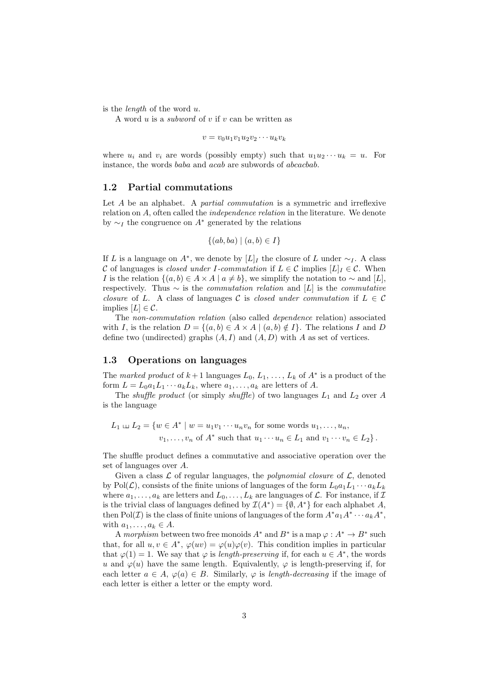is the length of the word u.

A word  $u$  is a *subword* of  $v$  if  $v$  can be written as

 $v = v_0u_1v_1u_2v_2\cdots u_kv_k$ 

where  $u_i$  and  $v_i$  are words (possibly empty) such that  $u_1u_2\cdots u_k = u$ . For instance, the words baba and acab are subwords of abcacbab.

#### 1.2 Partial commutations

Let  $A$  be an alphabet. A *partial commutation* is a symmetric and irreflexive relation on A, often called the independence relation in the literature. We denote by  $\sim_I$  the congruence on  $A^*$  generated by the relations

$$
\{(ab, ba) \mid (a, b) \in I\}
$$

If L is a language on  $A^*$ , we denote by  $[L]_I$  the closure of L under  $\sim_I$ . A class C of languages is *closed under I-commutation* if  $L \in \mathcal{C}$  implies  $[L]_I \in \mathcal{C}$ . When I is the relation  $\{(a, b) \in A \times A \mid a \neq b\}$ , we simplify the notation to  $\sim$  and [L], respectively. Thus  $\sim$  is the *commutation relation* and [L] is the *commutative* closure of L. A class of languages C is closed under commutation if  $L \in \mathcal{C}$ implies  $[L] \in \mathcal{C}$ .

The non-commutation relation (also called dependence relation) associated with I, is the relation  $D = \{(a, b) \in A \times A \mid (a, b) \notin I\}$ . The relations I and D define two (undirected) graphs  $(A, I)$  and  $(A, D)$  with A as set of vertices.

#### 1.3 Operations on languages

The marked product of  $k+1$  languages  $L_0, L_1, \ldots, L_k$  of  $A^*$  is a product of the form  $L = L_0 a_1 L_1 \cdots a_k L_k$ , where  $a_1, \ldots, a_k$  are letters of A.

The *shuffle product* (or simply *shuffle*) of two languages  $L_1$  and  $L_2$  over A is the language

$$
L_1 \sqcup L_2 = \{w \in A^* \mid w = u_1v_1 \cdots u_nv_n \text{ for some words } u_1, \ldots, u_n,
$$
  

$$
v_1, \ldots, v_n \text{ of } A^* \text{ such that } u_1 \cdots u_n \in L_1 \text{ and } v_1 \cdots v_n \in L_2\}.
$$

The shuffle product defines a commutative and associative operation over the set of languages over A.

Given a class  $\mathcal L$  of regular languages, the *polynomial closure* of  $\mathcal L$ , denoted by Pol( $\mathcal{L}$ ), consists of the finite unions of languages of the form  $L_0a_1L_1 \cdots a_kL_k$ where  $a_1, \ldots, a_k$  are letters and  $L_0, \ldots, L_k$  are languages of  $\mathcal{L}$ . For instance, if  $\mathcal{I}$ is the trivial class of languages defined by  $\mathcal{I}(A^*) = \{ \emptyset, A^* \}$  for each alphabet A, then Pol(*I*) is the class of finite unions of languages of the form  $A^*a_1A^* \cdots a_kA^*$ , with  $a_1, \ldots, a_k \in A$ .

A morphism between two free monoids  $A^*$  and  $B^*$  is a map  $\varphi : A^* \to B^*$  such that, for all  $u, v \in A^*, \varphi(uv) = \varphi(u)\varphi(v)$ . This condition implies in particular that  $\varphi(1) = 1$ . We say that  $\varphi$  is length-preserving if, for each  $u \in A^*$ , the words u and  $\varphi(u)$  have the same length. Equivalently,  $\varphi$  is length-preserving if, for each letter  $a \in A$ ,  $\varphi(a) \in B$ . Similarly,  $\varphi$  is length-decreasing if the image of each letter is either a letter or the empty word.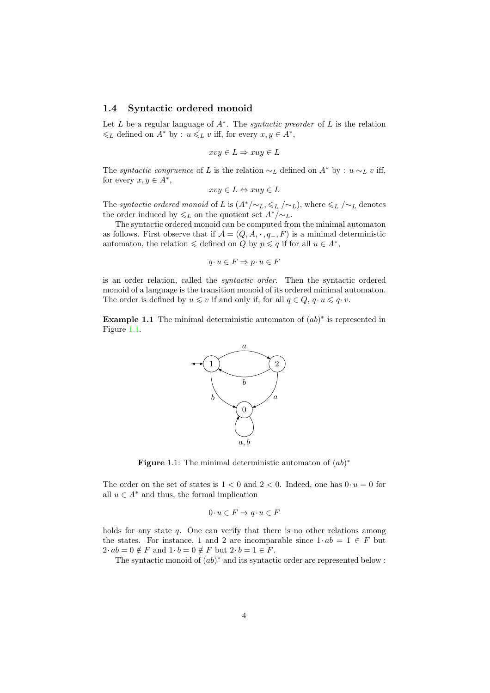#### 1.4 Syntactic ordered monoid

Let  $L$  be a regular language of  $A^*$ . The *syntactic preorder* of  $L$  is the relation  $\leq L$  defined on  $A^*$  by :  $u \leq L v$  iff, for every  $x, y \in A^*$ ,

$$
xvy \in L \Rightarrow xuy \in L
$$

The *syntactic congruence* of L is the relation  $\sim_L$  defined on  $A^*$  by :  $u \sim_L v$  iff, for every  $x, y \in A^*$ ,

$$
xvy \in L \Leftrightarrow xuy \in L
$$

The syntactic ordered monoid of L is  $(A^*/\sim_L, \leq_L/\sim_L)$ , where  $\leq_L/\sim_L$  denotes the order induced by  $\leq L$  on the quotient set  $A^*/\sim L$ .

The syntactic ordered monoid can be computed from the minimal automaton as follows. First observe that if  $\mathcal{A} = (Q, A, \cdot, q_-, F)$  is a minimal deterministic automaton, the relation  $\leq$  defined on Q by  $p \leq q$  if for all  $u \in A^*$ ,

$$
q \cdot u \in F \Rightarrow p \cdot u \in F
$$

is an order relation, called the syntactic order. Then the syntactic ordered monoid of a language is the transition monoid of its ordered minimal automaton. The order is defined by  $u \leq v$  if and only if, for all  $q \in Q$ ,  $q \cdot u \leq q \cdot v$ .

**Example 1.1** The minimal deterministic automaton of  $(ab)^*$  is represented in Figure [1.1.](#page-3-0)



<span id="page-3-0"></span>**Figure** 1.1: The minimal deterministic automaton of  $(ab)^*$ 

The order on the set of states is  $1 < 0$  and  $2 < 0$ . Indeed, one has  $0 \cdot u = 0$  for all  $u \in A^*$  and thus, the formal implication

$$
0 \cdot u \in F \Rightarrow q \cdot u \in F
$$

holds for any state q. One can verify that there is no other relations among the states. For instance, 1 and 2 are incomparable since  $1 \cdot ab = 1 \in F$  but  $2 \cdot ab = 0 \notin F$  and  $1 \cdot b = 0 \notin F$  but  $2 \cdot b = 1 \in F$ .

The syntactic monoid of  $(ab)^*$  and its syntactic order are represented below :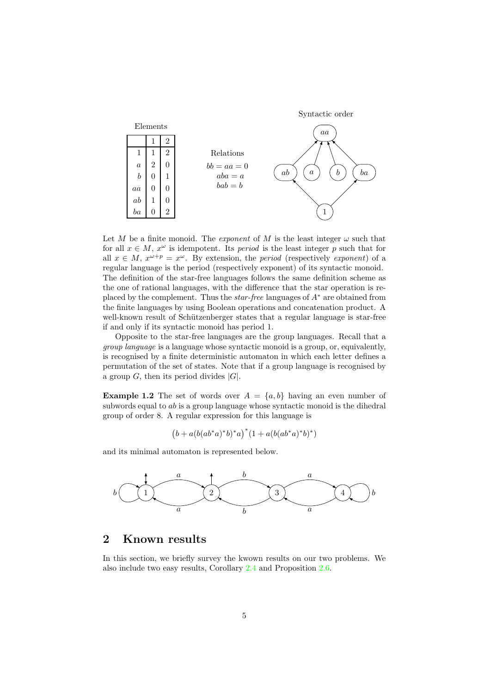

Let M be a finite monoid. The *exponent* of M is the least integer  $\omega$  such that for all  $x \in M$ ,  $x^{\omega}$  is idempotent. Its *period* is the least integer p such that for all  $x \in M$ ,  $x^{\omega+p} = x^{\omega}$ . By extension, the *period* (respectively *exponent*) of a regular language is the period (respectively exponent) of its syntactic monoid. The definition of the star-free languages follows the same definition scheme as the one of rational languages, with the difference that the star operation is replaced by the complement. Thus the *star-free* languages of  $A^*$  are obtained from the finite languages by using Boolean operations and concatenation product. A well-known result of Schützenberger states that a regular language is star-free if and only if its syntactic monoid has period 1.

Opposite to the star-free languages are the group languages. Recall that a group language is a language whose syntactic monoid is a group, or, equivalently, is recognised by a finite deterministic automaton in which each letter defines a permutation of the set of states. Note that if a group language is recognised by a group  $G$ , then its period divides  $|G|$ .

**Example 1.2** The set of words over  $A = \{a, b\}$  having an even number of subwords equal to ab is a group language whose syntactic monoid is the dihedral group of order 8. A regular expression for this language is

 $(b+a(b(ab^*a)^*b)^*a)^*(1+a(b(ab^*a)^*b)^*)$ 

and its minimal automaton is represented below.



## <span id="page-4-0"></span>2 Known results

In this section, we briefly survey the kwown results on our two problems. We also include two easy results, Corollary [2.4](#page-5-0) and Proposition [2.6.](#page-6-0)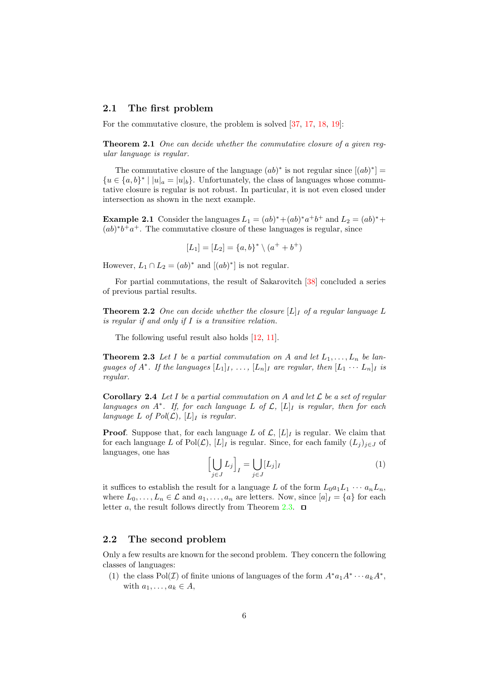#### 2.1 The first problem

For the commutative closure, the problem is solved [\[37,](#page-30-0) [17,](#page-29-0) [18,](#page-29-1) [19\]](#page-29-2):

**Theorem 2.1** One can decide whether the commutative closure of a given regular language is regular.

The commutative closure of the language  $(ab)^*$  is not regular since  $[(ab)^*]=$  ${u \in \{a, b\}^* \mid |u|_a = |u|_b\}.$  Unfortunately, the class of languages whose commutative closure is regular is not robust. In particular, it is not even closed under intersection as shown in the next example.

**Example 2.1** Consider the languages  $L_1 = (ab)^* + (ab)^*a^+b^+$  and  $L_2 = (ab)^* +$  $(ab)^*b^+a^+$ . The commutative closure of these languages is regular, since

$$
[L_1] = [L_2] = \{a, b\}^* \setminus (a^+ + b^+)
$$

However,  $L_1 \cap L_2 = (ab)^*$  and  $[(ab)^*]$  is not regular.

<span id="page-5-2"></span>For partial commutations, the result of Sakarovitch [\[38\]](#page-31-0) concluded a series of previous partial results.

**Theorem 2.2** One can decide whether the closure  $[L]$  of a regular language L is regular if and only if  $I$  is a transitive relation.

<span id="page-5-1"></span>The following useful result also holds [\[12,](#page-29-12) [11\]](#page-29-13).

**Theorem 2.3** Let I be a partial commutation on A and let  $L_1, \ldots, L_n$  be languages of  $A^*$ . If the languages  $[L_1]_I, \ldots, [L_n]_I$  are regular, then  $[L_1 \cdots L_n]_I$  is regular.

<span id="page-5-0"></span>**Corollary 2.4** Let I be a partial commutation on A and let  $\mathcal{L}$  be a set of regular languages on  $A^*$ . If, for each language L of  $\mathcal{L}$ ,  $[L]_I$  is regular, then for each language L of  $Pol(\mathcal{L}), [L]_I$  is regular.

**Proof.** Suppose that, for each language L of  $\mathcal{L}$ ,  $[L]_I$  is regular. We claim that for each language L of Pol(L),  $[L]_I$  is regular. Since, for each family  $(L_j)_{j\in J}$  of languages, one has

$$
\left[\bigcup_{j\in J} L_j\right]_I = \bigcup_{j\in J} [L_j]_I \tag{1}
$$

it suffices to establish the result for a language L of the form  $L_0a_1L_1 \cdots a_nL_n$ , where  $L_0, \ldots, L_n \in \mathcal{L}$  and  $a_1, \ldots, a_n$  are letters. Now, since  $[a]_I = \{a\}$  for each letter a, the result follows directly from Theorem [2.3.](#page-5-1)  $\Box$ 

### 2.2 The second problem

Only a few results are known for the second problem. They concern the following classes of languages:

(1) the class Pol(*I*) of finite unions of languages of the form  $A^*a_1A^*\cdots a_kA^*$ , with  $a_1, \ldots, a_k \in A$ ,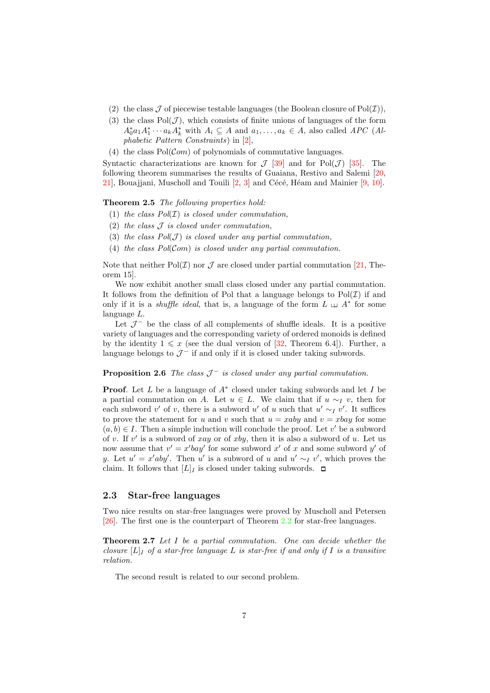- (2) the class  $\mathcal J$  of piecewise testable languages (the Boolean closure of Pol $(\mathcal I)$ ),
- (3) the class  $Pol(\mathcal{J})$ , which consists of finite unions of languages of the form  $A_0^* a_1 A_1^* \cdots a_k A_k^*$  with  $A_i \subseteq A$  and  $a_1, \ldots, a_k \in A$ , also called APC (Alphabetic Pattern Constraints) in [\[2\]](#page-28-1),
- (4) the class  $Pol(\mathcal{C}om)$  of polynomials of commutative languages.

Syntactic characterizations are known for  $\mathcal{J}$  [\[39\]](#page-31-1) and for Pol( $\mathcal{J}$ ) [\[35\]](#page-30-6). The following theorem summarises the results of Guaiana, Restivo and Salemi [\[20,](#page-29-5)  $21$ , Bouajjani, Muscholl and Touili  $[2, 3]$  $[2, 3]$  and Cécé, Héam and Mainier  $[9, 10]$  $[9, 10]$ .

#### Theorem 2.5 The following properties hold:

- (1) the class  $Pol(\mathcal{I})$  is closed under commutation.
- (2) the class  $J$  is closed under commutation,
- (3) the class  $Pol(\mathcal{J})$  is closed under any partial commutation,
- (4) the class  $Pol(\mathcal{C}om)$  is closed under any partial commutation.

Note that neither Pol $(\mathcal{I})$  nor  $\mathcal J$  are closed under partial commutation [\[21,](#page-29-6) Theorem 15].

We now exhibit another small class closed under any partial commutation. It follows from the definition of Pol that a language belongs to  $Pol(\mathcal{I})$  if and only if it is a *shuffle ideal*, that is, a language of the form  $L \perp A^*$  for some language  $L$ .

Let  $\mathcal{J}^-$  be the class of all complements of shuffle ideals. It is a positive variety of languages and the corresponding variety of ordered monoids is defined by the identity  $1 \leq x$  (see the dual version of [\[32,](#page-30-7) Theorem 6.4]). Further, a language belongs to  $\mathcal{J}^-$  if and only if it is closed under taking subwords.

#### <span id="page-6-0"></span>**Proposition 2.6** The class  $\mathcal{J}^-$  is closed under any partial commutation.

**Proof.** Let  $L$  be a language of  $A^*$  closed under taking subwords and let  $I$  be a partial commutation on A. Let  $u \in L$ . We claim that if  $u \sim_L v$ , then for each subword  $v'$  of v, there is a subword u' of u such that  $u' \sim_I v'$ . It suffices to prove the statement for u and v such that  $u = xaby$  and  $v = xbay$  for some  $(a, b) \in I$ . Then a simple induction will conclude the proof. Let v' be a subword of v. If  $v'$  is a subword of xay or of xby, then it is also a subword of u. Let us now assume that  $v' = x'bay'$  for some subword  $x'$  of x and some subword  $y'$  of y. Let  $u' = x'$  a subword of u and  $u' \sim_I v'$ , which proves the claim. It follows that  $[L]_I$  is closed under taking subwords.  $\Box$ 

### 2.3 Star-free languages

Two nice results on star-free languages were proved by Muscholl and Petersen [\[26\]](#page-30-2). The first one is the counterpart of Theorem [2.2](#page-5-2) for star-free languages.

**Theorem 2.7** Let I be a partial commutation. One can decide whether the closure  $[L]_I$  of a star-free language L is star-free if and only if I is a transitive relation.

The second result is related to our second problem.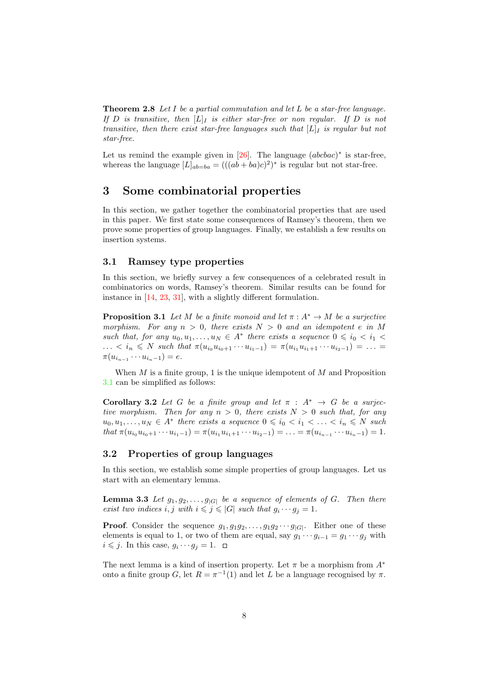**Theorem 2.8** Let I be a partial commutation and let L be a star-free language. If D is transitive, then  $[L]_I$  is either star-free or non regular. If D is not transitive, then there exist star-free languages such that  $[L]_I$  is regular but not star-free.

Let us remind the example given in  $[26]$ . The language  $(abcbac)^*$  is star-free, whereas the language  $[L]_{ab=ba} = (((ab+ba)c)^2)^*$  is regular but not star-free.

## <span id="page-7-0"></span>3 Some combinatorial properties

In this section, we gather together the combinatorial properties that are used in this paper. We first state some consequences of Ramsey's theorem, then we prove some properties of group languages. Finally, we establish a few results on insertion systems.

#### 3.1 Ramsey type properties

In this section, we briefly survey a few consequences of a celebrated result in combinatorics on words, Ramsey's theorem. Similar results can be found for instance in [\[14,](#page-29-11) [23,](#page-30-8) [31\]](#page-30-9), with a slightly different formulation.

<span id="page-7-1"></span>**Proposition 3.1** Let M be a finite monoid and let  $\pi : A^* \to M$  be a surjective morphism. For any  $n > 0$ , there exists  $N > 0$  and an idempotent e in M such that, for any  $u_0, u_1, \ldots, u_N \in A^*$  there exists a sequence  $0 \leq i_0 < i_1 <$ ... <  $i_n \leq N$  such that  $\pi(u_{i_0}u_{i_0+1}\cdots u_{i_1-1}) = \pi(u_{i_1}u_{i_1+1}\cdots u_{i_2-1}) = \ldots$  $\pi(u_{i_{n-1}}\cdots u_{i_{n-1}})=e.$ 

<span id="page-7-4"></span>When  $M$  is a finite group, 1 is the unique idempotent of  $M$  and Proposition [3.1](#page-7-1) can be simplified as follows:

**Corollary 3.2** Let G be a finite group and let  $\pi$  :  $A^* \rightarrow G$  be a surjective morphism. Then for any  $n > 0$ , there exists  $N > 0$  such that, for any  $u_0, u_1, \ldots, u_N \in A^*$  there exists a sequence  $0 \leq i_0 < i_1 < \ldots < i_n \leq N$  such that  $\pi(u_{i_0}u_{i_0+1}\cdots u_{i_1-1})=\pi(u_{i_1}u_{i_1+1}\cdots u_{i_2-1})=\ldots=\pi(u_{i_{n-1}}\cdots u_{i_{n-1}})=1.$ 

### 3.2 Properties of group languages

<span id="page-7-3"></span>In this section, we establish some simple properties of group languages. Let us start with an elementary lemma.

**Lemma 3.3** Let  $g_1, g_2, \ldots, g_{|G|}$  be a sequence of elements of G. Then there exist two indices i, j with  $i \leq j \leq |G|$  such that  $g_i \cdots g_j = 1$ .

**Proof.** Consider the sequence  $g_1, g_1g_2, \ldots, g_1g_2 \cdots g_{|G|}$ . Either one of these elements is equal to 1, or two of them are equal, say  $g_1 \cdots g_{i-1} = g_1 \cdots g_i$  with  $i \leq j$ . In this case,  $g_i \cdots g_j = 1$ .

<span id="page-7-2"></span>The next lemma is a kind of insertion property. Let  $\pi$  be a morphism from  $A^*$ onto a finite group G, let  $R = \pi^{-1}(1)$  and let L be a language recognised by  $\pi$ .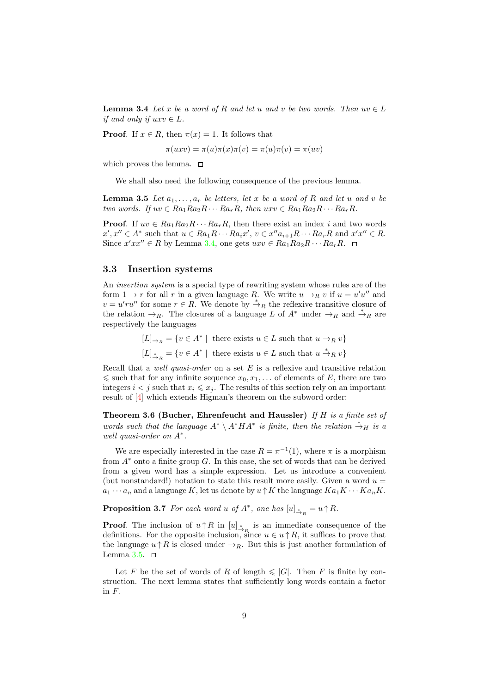**Lemma 3.4** Let x be a word of R and let u and v be two words. Then  $uv \in L$ if and only if  $uxv \in L$ .

**Proof.** If  $x \in R$ , then  $\pi(x) = 1$ . It follows that

$$
\pi(uxv) = \pi(u)\pi(x)\pi(v) = \pi(u)\pi(v) = \pi(uv)
$$

which proves the lemma.  $\square$ 

<span id="page-8-0"></span>We shall also need the following consequence of the previous lemma.

**Lemma 3.5** Let  $a_1, \ldots, a_r$  be letters, let x be a word of R and let u and v be two words. If  $uv \in Ra_1Ra_2R \cdots Ra_rR$ , then  $uxv \in Ra_1Ra_2R \cdots Ra_rR$ .

**Proof.** If  $uv \in Ra_1Ra_2R \cdots Ra_rR$ , then there exist an index i and two words  $x', x'' \in A^*$  such that  $u \in Ra_1R \cdots Ra_ix'$ ,  $v \in x''a_{i+1}R \cdots Ra_rR$  and  $x'x'' \in R$ . Since  $x'xx'' \in R$  by Lemma [3.4,](#page-7-2) one gets  $uxv \in Ra_1Ra_2R\cdots Ra_rR$ .

#### 3.3 Insertion systems

An *insertion system* is a special type of rewriting system whose rules are of the form  $1 \to r$  for all r in a given language R. We write  $u \to_R v$  if  $u = u'u''$  and  $v = u'ru''$  for some  $r \in R$ . We denote by  $\stackrel{*}{\rightarrow}_R$  the reflexive transitive closure of the relation  $\rightarrow_R$ . The closures of a language L of  $A^*$  under  $\rightarrow_R$  and  $\stackrel{*}{\rightarrow}_R$  are respectively the languages

> $[L]_{\rightarrow_R} = \{v \in A^* \mid \text{ there exists } u \in L \text{ such that } u \to_R v\}$  $[L]_{\overset{*}{\to}_R} = \{v \in A^* \mid \text{ there exists } u \in L \text{ such that } u \overset{*}{\to}_R v\}$

Recall that a *well quasi-order* on a set  $E$  is a reflexive and transitive relation  $\leq$  such that for any infinite sequence  $x_0, x_1, \ldots$  of elements of E, there are two integers  $i < j$  such that  $x_i \leq x_j$ . The results of this section rely on an important result of [\[4\]](#page-28-3) which extends Higman's theorem on the subword order:

<span id="page-8-2"></span>Theorem 3.6 (Bucher, Ehrenfeucht and Haussler) If  $H$  is a finite set of words such that the language  $A^* \setminus A^* H A^*$  is finite, then the relation  $\stackrel{*}{\rightarrow}_H$  is a well quasi-order on A<sup>∗</sup> .

We are especially interested in the case  $R = \pi^{-1}(1)$ , where  $\pi$  is a morphism from  $A^*$  onto a finite group G. In this case, the set of words that can be derived from a given word has a simple expression. Let us introduce a convenient (but nonstandard!) notation to state this result more easily. Given a word  $u =$  $a_1 \cdots a_n$  and a language K, let us denote by  $u \uparrow K$  the language  $Ka_1K \cdots Ka_nK$ .

<span id="page-8-3"></span>**Proposition 3.7** For each word u of  $A^*$ , one has  $[u]_{A_R}^* = u \uparrow R$ .

**Proof.** The inclusion of  $u \uparrow R$  in  $[u]_{\overset{*}{\to}_R}$  is an immediate consequence of the definitions. For the opposite inclusion, since  $u \in u \uparrow R$ , it suffices to prove that the language  $u \uparrow R$  is closed under  $\rightarrow_R$ . But this is just another formulation of Lemma [3.5.](#page-8-0)  $\Box$ 

<span id="page-8-1"></span>Let F be the set of words of R of length  $\leq$  |G|. Then F is finite by construction. The next lemma states that sufficiently long words contain a factor in F.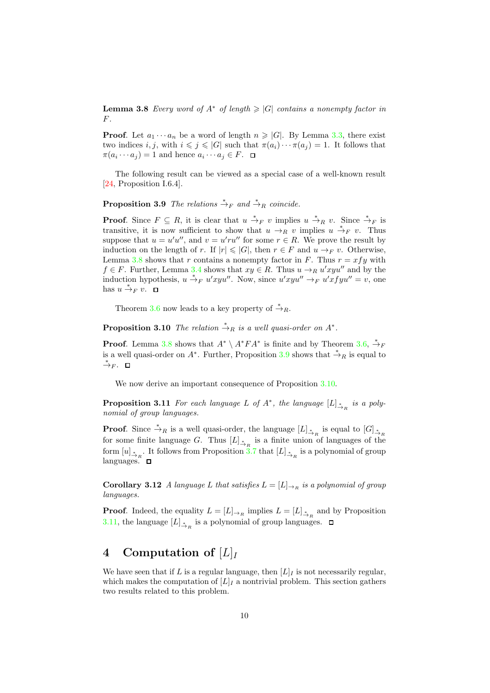**Lemma 3.8** Every word of  $A^*$  of length  $\geq |G|$  contains a nonempty factor in  $F$ .

**Proof.** Let  $a_1 \cdots a_n$  be a word of length  $n \geq |G|$ . By Lemma [3.3,](#page-7-3) there exist two indices i, j, with  $i \leq j \leq |G|$  such that  $\pi(a_i) \cdots \pi(a_j) = 1$ . It follows that  $\pi(a_i \cdots a_j) = 1$  and hence  $a_i \cdots a_j \in F$ .

<span id="page-9-1"></span>The following result can be viewed as a special case of a well-known result [\[24,](#page-30-10) Proposition I.6.4].

**Proposition 3.9** The relations  $\stackrel{*}{\rightarrow}_F$  and  $\stackrel{*}{\rightarrow}_R$  coincide.

**Proof.** Since  $F \subseteq R$ , it is clear that  $u \stackrel{*}{\to}_F v$  implies  $u \stackrel{*}{\to}_R v$ . Since  $\stackrel{*}{\to}_F$  is transitive, it is now sufficient to show that  $u \to_R^R v$  implies  $u \stackrel{*}{\to}_F v$ . Thus suppose that  $u = u'u''$ , and  $v = u'ru''$  for some  $r \in R$ . We prove the result by induction on the length of r. If  $|r| \leq |G|$ , then  $r \in F$  and  $u \to_F v$ . Otherwise, Lemma [3.8](#page-8-1) shows that r contains a nonempty factor in F. Thus  $r = xfy$  with  $f \in F$ . Further, Lemma [3.4](#page-7-2) shows that  $xy \in R$ . Thus  $u \to_R u'xyu''$  and by the induction hypothesis,  $u \stackrel{*}{\rightarrow}_F u'xyu''$ . Now, since  $u'xyu'' \rightarrow_F u'xfyu'' = v$ , one has  $u \stackrel{*}{\rightarrow}_F v$ .

<span id="page-9-2"></span>Theorem [3.6](#page-8-2) now leads to a key property of  $\stackrel{*}{\rightarrow}_R$ .

**Proposition 3.10** The relation  $\stackrel{*}{\rightarrow}_R$  is a well quasi-order on  $A^*$ .

**Proof.** Lemma [3.8](#page-8-1) shows that  $A^* \setminus A^*FA^*$  is finite and by Theorem [3.6,](#page-8-2)  $\stackrel{*}{\rightarrow}_F$ is a well quasi-order on  $A^*$ . Further, Proposition [3.9](#page-9-1) shows that  $\stackrel{*}{\rightarrow}_R$  is equal to  $\stackrel{*}{\rightarrow}_F$ . □

<span id="page-9-3"></span>We now derive an important consequence of Proposition [3.10.](#page-9-2)

**Proposition 3.11** For each language L of  $A^*$ , the language  $[L]_{\overset{*}{\to}_R}$  is a polynomial of group languages.

**Proof.** Since  $\stackrel{*}{\to}_R$  is a well quasi-order, the language  $[L]_{\stackrel{*}{\to}_R}$  is equal to  $[G]_{\stackrel{*}{\to}_R}$ for some finite language G. Thus  $[L]_{\stackrel{*}{\to}_R}$  is a finite union of languages of the form  $[u]_{\xrightarrow{\ast} R}$ . It follows from Proposition [3.7](#page-8-3) that  $[L]_{\xrightarrow{\ast} R}$  is a polynomial of group languages.  $\Box$ 

<span id="page-9-4"></span>Corollary 3.12 A language L that satisfies  $L = [L]_{\to R}$  is a polynomial of group languages.

**Proof.** Indeed, the equality  $L = [L]_{\to_R}$  implies  $L = [L]_{\stackrel{*}{\to_R}}$  and by Proposition [3.11,](#page-9-3) the language  $[L]_{\dot{\rightarrow}_R}$  is a polynomial of group languages.

## <span id="page-9-0"></span>4 Computation of  $[L]$

We have seen that if L is a regular language, then  $[L]_I$  is not necessarily regular, which makes the computation of  $[L]_I$  a nontrivial problem. This section gathers two results related to this problem.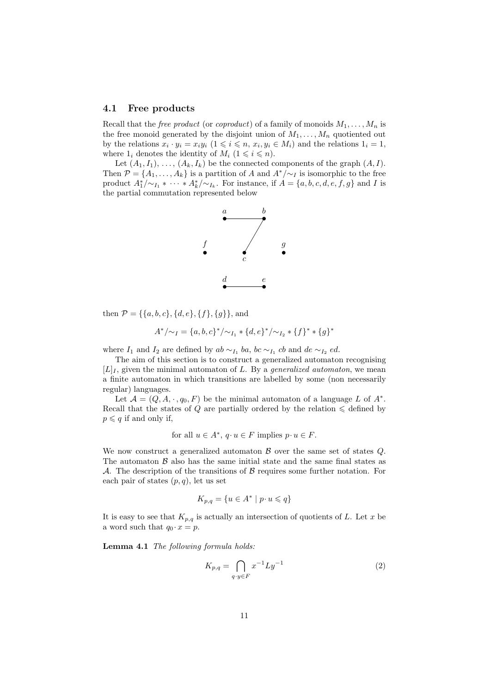#### <span id="page-10-2"></span>4.1 Free products

Recall that the *free product* (or *coproduct*) of a family of monoids  $M_1, \ldots, M_n$  is the free monoid generated by the disjoint union of  $M_1, \ldots, M_n$  quotiented out by the relations  $x_i \cdot y_i = x_i y_i \ (1 \leq i \leq n, x_i, y_i \in M_i)$  and the relations  $1_i = 1$ , where  $1_i$  denotes the identity of  $M_i$   $(1 \leq i \leq n)$ .

Let  $(A_1, I_1), \ldots, (A_k, I_k)$  be the connected components of the graph  $(A, I)$ . Then  $\mathcal{P} = \{A_1, \ldots, A_k\}$  is a partition of A and  $A^*/\sim I$  is isomorphic to the free product  $A_1^*/\sim_{I_1} * \cdots * A_k^*/\sim_{I_k}$ . For instance, if  $A = \{a, b, c, d, e, f, g\}$  and I is the partial commutation represented below



then  $\mathcal{P} = \{\{a, b, c\}, \{d, e\}, \{f\}, \{g\}\}\$ , and

$$
A^*/{\sim_I} = \{a, b, c\}^*/{\sim_{I_1}} * \{d, e\}^*/{\sim_{I_2}} * \{f\}^* * \{g\}^*
$$

where  $I_1$  and  $I_2$  are defined by  $ab \sim_{I_1} ba$ ,  $bc \sim_{I_1} cb$  and  $de \sim_{I_2} ed$ .

The aim of this section is to construct a generalized automaton recognising  $[L]_I$ , given the minimal automaton of L. By a *generalized automaton*, we mean a finite automaton in which transitions are labelled by some (non necessarily regular) languages.

Let  $\mathcal{A} = (Q, A, \cdot, q_0, F)$  be the minimal automaton of a language L of  $A^*$ . Recall that the states of  $Q$  are partially ordered by the relation  $\leq$  defined by  $p \leqslant q$  if and only if,

for all 
$$
u \in A^*
$$
,  $q \cdot u \in F$  implies  $p \cdot u \in F$ .

We now construct a generalized automaton  $\beta$  over the same set of states  $Q$ . The automaton  $\beta$  also has the same initial state and the same final states as A. The description of the transitions of  $\beta$  requires some further notation. For each pair of states  $(p, q)$ , let us set

$$
K_{p,q} = \{ u \in A^* \mid p \cdot u \leqslant q \}
$$

<span id="page-10-0"></span>It is easy to see that  $K_{p,q}$  is actually an intersection of quotients of L. Let x be a word such that  $q_0 \cdot x = p$ .

Lemma 4.1 The following formula holds:

<span id="page-10-1"></span>
$$
K_{p,q} = \bigcap_{q \cdot y \in F} x^{-1} L y^{-1} \tag{2}
$$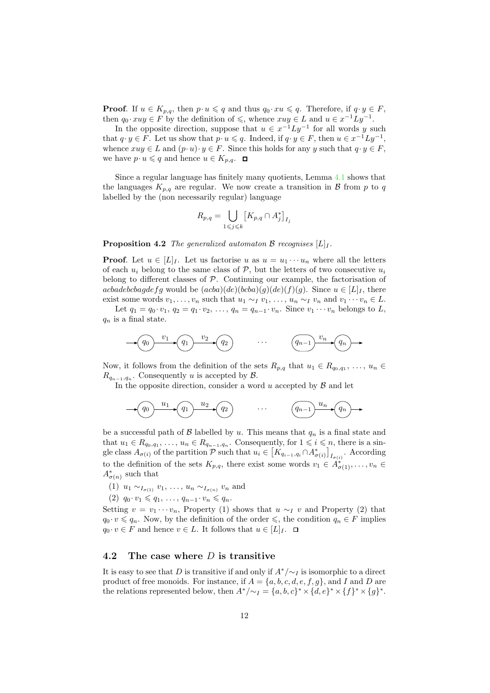**Proof.** If  $u \in K_{p,q}$ , then  $p \cdot u \leqslant q$  and thus  $q_0 \cdot xu \leqslant q$ . Therefore, if  $q \cdot y \in F$ , then  $q_0 \cdot x u y \in F$  by the definition of  $\leq$ , whence  $x u y \in L$  and  $u \in x^{-1}Ly^{-1}$ .

In the opposite direction, suppose that  $u \in x^{-1}Ly^{-1}$  for all words y such that  $q \cdot y \in F$ . Let us show that  $p \cdot u \leqslant q$ . Indeed, if  $q \cdot y \in F$ , then  $u \in x^{-1}Ly^{-1}$ , whence  $xuy \in L$  and  $(p \cdot u) \cdot y \in F$ . Since this holds for any y such that  $q \cdot y \in F$ , we have  $p \cdot u \leqslant q$  and hence  $u \in K_{p,q}$ .  $\Box$ 

Since a regular language has finitely many quotients, Lemma [4.1](#page-10-0) shows that the languages  $K_{p,q}$  are regular. We now create a transition in  $\beta$  from p to q labelled by the (non necessarily regular) language

$$
R_{p,q} = \bigcup_{1 \leqslant j \leqslant k} \left[ K_{p,q} \cap A_j^* \right]_{I_j}
$$

<span id="page-11-1"></span>**Proposition 4.2** The generalized automaton B recognises  $[L]_I$ .

**Proof.** Let  $u \in [L]_I$ . Let us factorise u as  $u = u_1 \cdots u_n$  where all the letters of each  $u_i$  belong to the same class of  $P$ , but the letters of two consecutive  $u_i$ belong to different classes of  $P$ . Continuing our example, the factorisation of acbadebcbagdefg would be  $(acba)(de)(bcba)(g)(de)(f)(g)$ . Since  $u \in [L]_I$ , there exist some words  $v_1, \ldots, v_n$  such that  $u_1 \sim_I v_1, \ldots, u_n \sim_I v_n$  and  $v_1 \cdots v_n \in L$ .

Let  $q_1 = q_0 \cdot v_1$ ,  $q_2 = q_1 \cdot v_2$ , ...,  $q_n = q_{n-1} \cdot v_n$ . Since  $v_1 \cdots v_n$  belongs to L,  $q_n$  is a final state.

$$
\begin{array}{c}\n\hline\n\end{array}\n\qquad\n\begin{array}{c}\n\hline\nv_1 \\
\hline\n\end{array}\n\qquad\n\begin{array}{c}\n\hline\nv_2 \\
\hline\n\end{array}\n\qquad\n\begin{array}{c}\n\hline\n\end{array}\n\qquad\n\begin{array}{c}\n\hline\n\end{array}\n\qquad\n\begin{array}{c}\n\hline\n\end{array}\n\qquad\n\begin{array}{c}\n\hline\n\end{array}\n\qquad\n\begin{array}{c}\n\hline\n\end{array}\n\qquad\n\begin{array}{c}\n\hline\n\end{array}\n\qquad\n\begin{array}{c}\n\hline\n\end{array}\n\qquad\n\begin{array}{c}\n\hline\n\end{array}\n\qquad\n\begin{array}{c}\n\hline\n\end{array}\n\qquad\n\begin{array}{c}\n\hline\n\end{array}\n\qquad\n\begin{array}{c}\n\hline\n\end{array}\n\qquad\n\end{array}\n\qquad\n\begin{array}{c}\n\hline\n\end{array}\n\qquad\n\begin{array}{c}\n\hline\n\end{array}\n\qquad\n\begin{array}{c}\n\hline\n\end{array}\n\qquad\n\begin{array}{c}\n\hline\n\end{array}\n\qquad\n\begin{array}{c}\n\hline\n\end{array}\n\qquad\n\end{array}\n\qquad\n\begin{array}{c}\n\hline\n\end{array}\n\qquad\n\begin{array}{c}\n\hline\n\end{array}\n\qquad\n\begin{array}{c}\n\hline\n\end{array}\n\qquad\n\end{array}\n\qquad\n\begin{array}{c}\n\hline\n\end{array}\n\qquad\n\begin{array}{c}\n\hline\n\end{array}\n\qquad\n\begin{array}{c}\n\hline\n\end{array}\n\qquad\n\begin{array}{c}\n\hline\n\end{array}\n\qquad\n\end{array}\n\qquad\n\begin{array}{c}\n\hline\n\end{array}\n\qquad\n\begin{array}{c}\n\hline\n\end{array}\n\qquad\n\begin{array}{c}\n\hline\n\end{array}\n\qquad\n\end{array}\n\qquad\n\begin{array}{c}\n\hline\n\end{array}\n\qquad\n\begin{array}{c}\n\hline\n\end{array}\n\qquad\n\begin{array}{c}\n\hline
$$

Now, it follows from the definition of the sets  $R_{p,q}$  that  $u_1 \in R_{q_0,q_1}, \ldots, u_n \in$  $R_{q_{n-1},q_n}$ . Consequently u is accepted by  $\mathcal{B}$ .

In the opposite direction, consider a word u accepted by  $\beta$  and let

$$
\longrightarrow \underbrace{(q_0) \xrightarrow{u_1} (q_1) \xrightarrow{u_2} (q_2)} \cdots \underbrace{(q_{n-1}) \xrightarrow{u_n} (q_n) \rightarrow (q_n)} \longrightarrow
$$

be a successful path of  $\beta$  labelled by u. This means that  $q_n$  is a final state and that  $u_1 \in R_{q_0,q_1}, \ldots, u_n \in R_{q_{n-1},q_n}$ . Consequently, for  $1 \leq i \leq n$ , there is a single class  $A_{\sigma(i)}$  of the partition P such that  $u_i \in [K_{q_{i-1},q_i} \cap A^*_{\sigma(i)}]_{I_{\sigma(i)}}$ . According to the definition of the sets  $K_{p,q}$ , there exist some words  $v_1 \in \widetilde{A}^*_{\sigma(1)}, \ldots, v_n \in$  $A^*_{\sigma(n)}$  such that

- $(1)$   $u_1 \sim_{I_{\sigma(1)}} v_1, \ldots, u_n \sim_{I_{\sigma(n)}} v_n$  and
- (2)  $q_0 \cdot v_1 \leq q_1, \ldots, q_{n-1} \cdot v_n \leq q_n$ .

Setting  $v = v_1 \cdots v_n$ , Property (1) shows that  $u \sim_I v$  and Property (2) that  $q_0 \cdot v \leq q_n$ . Now, by the definition of the order  $\leq$ , the condition  $q_n \in F$  implies  $q_0 \cdot v \in F$  and hence  $v \in L$ . It follows that  $u \in [L]_I$ .  $\Box$ 

#### <span id="page-11-0"></span>4.2 The case where  $D$  is transitive

It is easy to see that D is transitive if and only if  $A^*/\sim_I$  is isomorphic to a direct product of free monoids. For instance, if  $A = \{a, b, c, d, e, f, q\}$ , and I and D are the relations represented below, then  $A^*/{\sim_I} = \{a, b, c\}^* \times \{d, e\}^* \times \{f\}^* \times \{g\}^*.$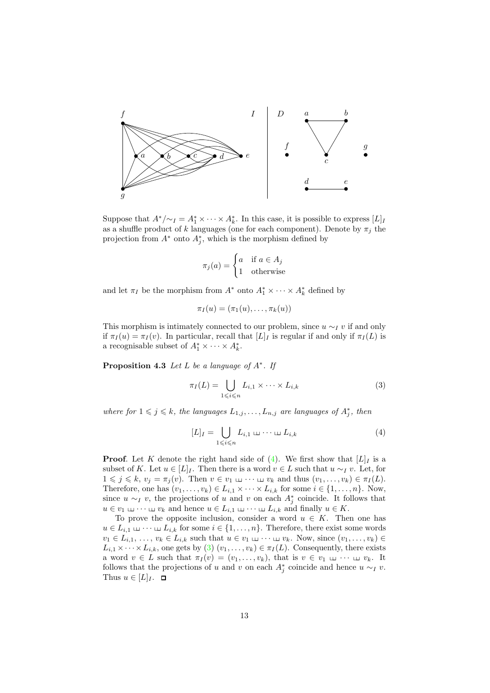

Suppose that  $A^*/\sim_I = A_1^* \times \cdots \times A_k^*$ . In this case, it is possible to express  $[L]_I$ as a shuffle product of k languages (one for each component). Denote by  $\pi_j$  the projection from  $A^*$  onto  $A_j^*$ , which is the morphism defined by

$$
\pi_j(a) = \begin{cases} a & \text{if } a \in A_j \\ 1 & \text{otherwise} \end{cases}
$$

and let  $\pi_I$  be the morphism from  $A^*$  onto  $A_1^* \times \cdots \times A_k^*$  defined by

$$
\pi_I(u)=(\pi_1(u),\ldots,\pi_k(u))
$$

This morphism is intimately connected to our problem, since  $u \sim_I v$  if and only if  $\pi_I(u) = \pi_I(v)$ . In particular, recall that  $[L]_I$  is regular if and only if  $\pi_I(L)$  is a recognisable subset of  $A_1^* \times \cdots \times A_k^*$ .

<span id="page-12-2"></span>**Proposition 4.3** Let L be a language of  $A^*$ . If

<span id="page-12-1"></span>
$$
\pi_I(L) = \bigcup_{1 \le i \le n} L_{i,1} \times \dots \times L_{i,k} \tag{3}
$$

where for  $1 \leq j \leq k$ , the languages  $L_{1,j}, \ldots, L_{n,j}$  are languages of  $A_j^*$ , then

<span id="page-12-0"></span>
$$
[L]_I = \bigcup_{1 \leq i \leq n} L_{i,1} \sqcup \cdots \sqcup L_{i,k} \tag{4}
$$

**Proof.** Let K denote the right hand side of [\(4\)](#page-12-0). We first show that  $[L]_I$  is a subset of K. Let  $u \in [L]_I$ . Then there is a word  $v \in L$  such that  $u \sim_I v$ . Let, for  $1 \leqslant j \leqslant k, v_j = \pi_j(v)$ . Then  $v \in v_1 \sqcup \cdots \sqcup v_k$  and thus  $(v_1, \ldots, v_k) \in \pi_I(L)$ . Therefore, one has  $(v_1, \ldots, v_k) \in L_{i,1} \times \cdots \times L_{i,k}$  for some  $i \in \{1, \ldots, n\}$ . Now, since  $u \sim_I v$ , the projections of u and v on each  $A_j^*$  coincide. It follows that  $u \in v_1 \sqcup \cdots \sqcup v_k$  and hence  $u \in L_{i,1} \sqcup \cdots \sqcup L_{i,k}$  and finally  $u \in K$ .

To prove the opposite inclusion, consider a word  $u \in K$ . Then one has  $u \in L_{i,1} \sqcup \cdots \sqcup L_{i,k}$  for some  $i \in \{1, \ldots, n\}$ . Therefore, there exist some words  $v_1 \in L_{i,1}, \ldots, v_k \in L_{i,k}$  such that  $u \in v_1 \sqcup \cdots \sqcup v_k$ . Now, since  $(v_1, \ldots, v_k) \in$  $L_{i,1} \times \cdots \times L_{i,k}$ , one gets by [\(3\)](#page-12-1)  $(v_1, \ldots, v_k) \in \pi_I(L)$ . Consequently, there exists a word  $v \in L$  such that  $\pi_I(v) = (v_1, \ldots, v_k)$ , that is  $v \in v_1 \sqcup \cdots \sqcup v_k$ . It follows that the projections of u and v on each  $A_j^*$  coincide and hence  $u \sim_I v$ . Thus  $u \in [L]_I$ .  $\Box$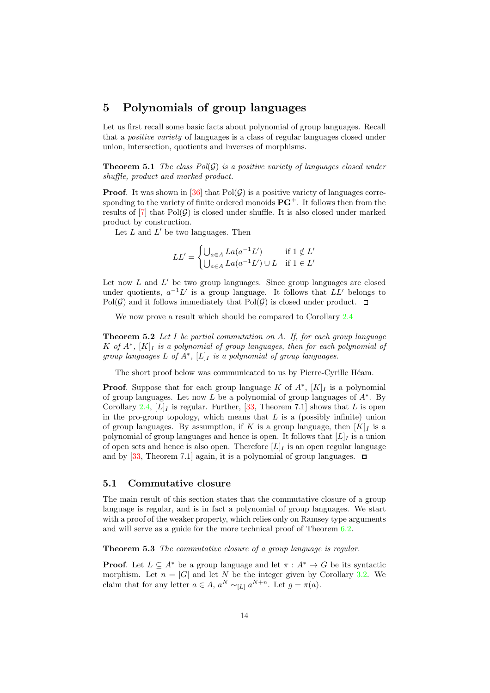## <span id="page-13-0"></span>5 Polynomials of group languages

Let us first recall some basic facts about polynomial of group languages. Recall that a positive variety of languages is a class of regular languages closed under union, intersection, quotients and inverses of morphisms.

**Theorem 5.1** The class  $Pol(G)$  is a positive variety of languages closed under shuffle, product and marked product.

**Proof.** It was shown in [\[36\]](#page-30-11) that  $Pol(\mathcal{G})$  is a positive variety of languages corresponding to the variety of finite ordered monoids  $\mathbf{PG}^+$ . It follows then from the results of  $[7]$  that  $Pol(G)$  is closed under shuffle. It is also closed under marked product by construction.

Let  $L$  and  $L'$  be two languages. Then

$$
LL' = \begin{cases} \bigcup_{a \in A} La(a^{-1}L') & \text{if } 1 \notin L' \\ \bigcup_{a \in A} La(a^{-1}L') \cup L & \text{if } 1 \in L' \end{cases}
$$

Let now  $L$  and  $L'$  be two group languages. Since group languages are closed under quotients,  $a^{-1}L'$  is a group language. It follows that  $LL'$  belongs to  $Pol(G)$  and it follows immediately that  $Pol(G)$  is closed under product.  $\square$ 

<span id="page-13-2"></span>We now prove a result which should be compared to Corollary [2.4](#page-5-0)

**Theorem 5.2** Let  $I$  be partial commutation on  $A$ . If, for each group language K of  $A^*$ ,  $[K]_I$  is a polynomial of group languages, then for each polynomial of group languages  $L$  of  $A^*$ ,  $[L]_I$  is a polynomial of group languages.

The short proof below was communicated to us by Pierre-Cyrille Héam.

**Proof.** Suppose that for each group language K of  $A^*$ ,  $[K]_I$  is a polynomial of group languages. Let now  $L$  be a polynomial of group languages of  $A^*$ . By Corollary [2.4,](#page-5-0)  $[L]_I$  is regular. Further, [\[33,](#page-30-12) Theorem 7.1] shows that L is open in the pro-group topology, which means that  $L$  is a (possibly infinite) union of group languages. By assumption, if K is a group language, then  $[K]_I$  is a polynomial of group languages and hence is open. It follows that  $[L]_I$  is a union of open sets and hence is also open. Therefore  $[L]_I$  is an open regular language and by [\[33,](#page-30-12) Theorem 7.1] again, it is a polynomial of group languages.  $\Box$ 

#### <span id="page-13-3"></span>5.1 Commutative closure

The main result of this section states that the commutative closure of a group language is regular, and is in fact a polynomial of group languages. We start with a proof of the weaker property, which relies only on Ramsey type arguments and will serve as a guide for the more technical proof of Theorem [6.2.](#page-22-0)

<span id="page-13-1"></span>Theorem 5.3 The commutative closure of a group language is regular.

**Proof.** Let  $L \subseteq A^*$  be a group language and let  $\pi : A^* \to G$  be its syntactic morphism. Let  $n = |G|$  and let N be the integer given by Corollary [3.2.](#page-7-4) We claim that for any letter  $a \in A$ ,  $a^N \sim_{[L]} a^{N+n}$ . Let  $g = \pi(a)$ .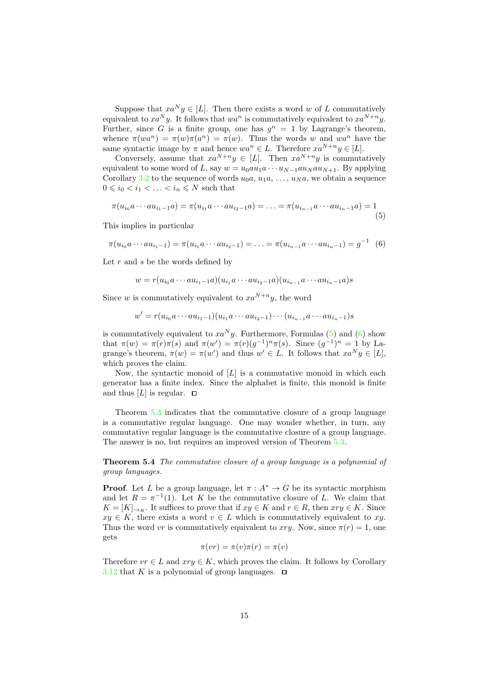Suppose that  $xa^Ny \in [L]$ . Then there exists a word w of L commutatively equivalent to  $xa^Ny$ . It follows that  $wa^n$  is commutatively equivalent to  $xa^{N+n}y$ . Further, since G is a finite group, one has  $g^n = 1$  by Lagrange's theorem, whence  $\pi(wa^n) = \pi(w)\pi(a^n) = \pi(w)$ . Thus the words w and wa<sup>n</sup> have the same syntactic image by  $\pi$  and hence  $wa^n \in L$ . Therefore  $xa^{N+n}y \in [L]$ .

Conversely, assume that  $xa^{N+n}y \in [L]$ . Then  $xa^{N+n}y$  is commutatively equivalent to some word of L, say  $w = u_0 a u_1 a \cdots u_{N-1} a u_N a u_{N+1}$ . By applying Corollary [3.2](#page-7-4) to the sequence of words  $u_0a, u_1a, \ldots, u_Na$ , we obtain a sequence  $0\leqslant i_0< i_1<\ldots< i_n\leqslant N$  such that

<span id="page-14-0"></span>
$$
\pi(u_{i_0}a\cdots au_{i_1-1}a) = \pi(u_{i_1}a\cdots au_{i_2-1}a) = \ldots = \pi(u_{i_{n-1}}a\cdots au_{i_{n-1}}a) = 1
$$
\n(5)

This implies in particular

<span id="page-14-1"></span>
$$
\pi(u_{i_0}a\cdots au_{i_1-1}) = \pi(u_{i_1}a\cdots au_{i_2-1}) = \ldots = \pi(u_{i_{n-1}}a\cdots au_{i_n-1}) = g^{-1} \quad (6)
$$

Let  $r$  and  $s$  be the words defined by

$$
w = r(u_{i_0}a \cdots a u_{i_1-1}a)(u_{i_1}a \cdots a u_{i_2-1}a)(u_{i_{n-1}}a \cdots a u_{i_n-1}a)s
$$

Since w is commutatively equivalent to  $xa^{N+n}y$ , the word

$$
w' = r(u_{i_0}a \cdots au_{i_1-1})(u_{i_1}a \cdots au_{i_2-1}) \cdots (u_{i_{n-1}}a \cdots au_{i_n-1})s
$$

is commutatively equivalent to  $xa^Ny$ . Furthermore, Formulas [\(5\)](#page-14-0) and [\(6\)](#page-14-1) show that  $\pi(w) = \pi(r)\pi(s)$  and  $\pi(w') = \pi(r)(g^{-1})^n \pi(s)$ . Since  $(g^{-1})^n = 1$  by Lagrange's theorem,  $\pi(w) = \pi(w')$  and thus  $w' \in L$ . It follows that  $xa^N y \in [L]$ , which proves the claim.

Now, the syntactic monoid of  $[L]$  is a commutative monoid in which each generator has a finite index. Since the alphabet is finite, this monoid is finite and thus  $[L]$  is regular.  $\Box$ 

Theorem [5.3](#page-13-1) indicates that the commutative closure of a group language is a commutative regular language. One may wonder whether, in turn, any commutative regular language is the commutative closure of a group language. The answer is no, but requires an improved version of Theorem [5.3.](#page-13-1)

<span id="page-14-2"></span>Theorem 5.4 The commutative closure of a group language is a polynomial of group languages.

**Proof.** Let L be a group language, let  $\pi : A^* \to G$  be its syntactic morphism and let  $R = \pi^{-1}(1)$ . Let K be the commutative closure of L. We claim that  $K = [K]_{\rightarrow R}$ . It suffices to prove that if  $xy \in K$  and  $r \in R$ , then  $xry \in K$ . Since  $xy \in K$ , there exists a word  $v \in L$  which is commutatively equivalent to xy. Thus the word vr is commutatively equivalent to xry. Now, since  $\pi(r) = 1$ , one gets

$$
\pi(vr) = \pi(v)\pi(r) = \pi(v)
$$

Therefore  $vr \in L$  and  $xry \in K$ , which proves the claim. It follows by Corollary [3.12](#page-9-4) that K is a polynomial of group languages.  $\Box$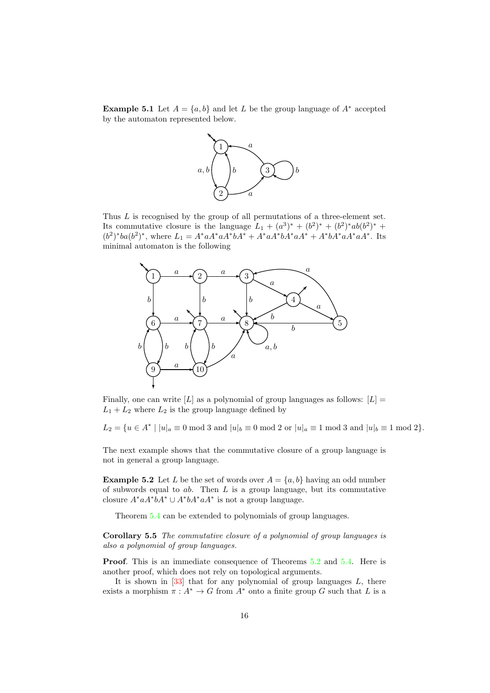**Example 5.1** Let  $A = \{a, b\}$  and let L be the group language of  $A^*$  accepted by the automaton represented below.



Thus L is recognised by the group of all permutations of a three-element set. Its commutative closure is the language  $L_1 + (a^3)^* + (b^2)^* + (b^2)^* ab(b^2)^* +$  $(b^2)^*ba(b^2)^*$ , where  $L_1 = A^*aA^*aA^*bA^* + A^*aA^*aA^* + A^*bA^*aA^*aA^*$ . Its minimal automaton is the following



Finally, one can write  $[L]$  as a polynomial of group languages as follows:  $[L] =$  $L_1 + L_2$  where  $L_2$  is the group language defined by

 $L_2 = \{u \in A^* \mid |u|_a \equiv 0 \bmod 3 \text{ and } |u|_b \equiv 0 \bmod 2 \text{ or } |u|_a \equiv 1 \bmod 3 \text{ and } |u|_b \equiv 1 \bmod 2 \}.$ 

The next example shows that the commutative closure of a group language is not in general a group language.

**Example 5.2** Let L be the set of words over  $A = \{a, b\}$  having an odd number of subwords equal to  $ab$ . Then  $L$  is a group language, but its commutative closure  $A^* a A^* b A^* \cup A^* b A^* a A^*$  is not a group language.

<span id="page-15-0"></span>Theorem [5.4](#page-14-2) can be extended to polynomials of group languages.

Corollary 5.5 The commutative closure of a polynomial of group languages is also a polynomial of group languages.

Proof. This is an immediate consequence of Theorems [5.2](#page-13-2) and [5.4.](#page-14-2) Here is another proof, which does not rely on topological arguments.

It is shown in  $[33]$  that for any polynomial of group languages L, there exists a morphism  $\pi : A^* \to G$  from  $A^*$  onto a finite group G such that L is a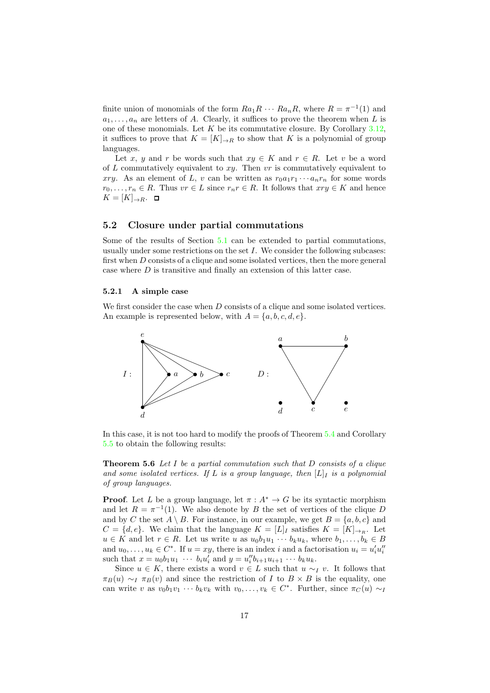finite union of monomials of the form  $Ra_1R \cdots Ra_nR$ , where  $R = \pi^{-1}(1)$  and  $a_1, \ldots, a_n$  are letters of A. Clearly, it suffices to prove the theorem when L is one of these monomials. Let  $K$  be its commutative closure. By Corollary [3.12,](#page-9-4) it suffices to prove that  $K = [K]_{\to R}$  to show that K is a polynomial of group languages.

Let x, y and r be words such that  $xy \in K$  and  $r \in R$ . Let v be a word of L commutatively equivalent to  $xy$ . Then vr is commutatively equivalent to xry. As an element of L, v can be written as  $r_0a_1r_1\cdots a_nr_n$  for some words  $r_0, \ldots, r_n \in R$ . Thus  $vr \in L$  since  $r_n r \in R$ . It follows that  $xry \in K$  and hence  $K = [K]_{\rightarrow R}$ . □

#### 5.2 Closure under partial commutations

Some of the results of Section [5.1](#page-13-3) can be extended to partial commutations, usually under some restrictions on the set  $I$ . We consider the following subcases: first when D consists of a clique and some isolated vertices, then the more general case where D is transitive and finally an extension of this latter case.

#### <span id="page-16-0"></span>5.2.1 A simple case

We first consider the case when D consists of a clique and some isolated vertices. An example is represented below, with  $A = \{a, b, c, d, e\}.$ 



<span id="page-16-1"></span>In this case, it is not too hard to modify the proofs of Theorem [5.4](#page-14-2) and Corollary [5.5](#page-15-0) to obtain the following results:

**Theorem 5.6** Let  $I$  be a partial commutation such that  $D$  consists of a clique and some isolated vertices. If L is a group language, then  $[L]$  is a polynomial of group languages.

**Proof.** Let L be a group language, let  $\pi : A^* \to G$  be its syntactic morphism and let  $R = \pi^{-1}(1)$ . We also denote by B the set of vertices of the clique D and by C the set  $A \setminus B$ . For instance, in our example, we get  $B = \{a, b, c\}$  and  $C = \{d, e\}.$  We claim that the language  $K = [L]_I$  satisfies  $K = [K]_{\to B}$ . Let  $u \in K$  and let  $r \in R$ . Let us write u as  $u_0b_1u_1 \cdots b_ku_k$ , where  $b_1, \ldots, b_k \in B$ and  $u_0, \ldots, u_k \in C^*$ . If  $u = xy$ , there is an index i and a factorisation  $u_i = u'_i u''_i$ such that  $x = u_0 b_1 u_1 \cdots b_i u'_i$  and  $y = u''_i b_{i+1} u_{i+1} \cdots b_k u_k$ .

Since  $u \in K$ , there exists a word  $v \in L$  such that  $u \sim_I v$ . It follows that  $\pi_B(u) \sim_I \pi_B(v)$  and since the restriction of I to  $B \times B$  is the equality, one can write v as  $v_0b_1v_1 \cdots b_kv_k$  with  $v_0, \ldots, v_k \in C^*$ . Further, since  $\pi_C(u) \sim_I$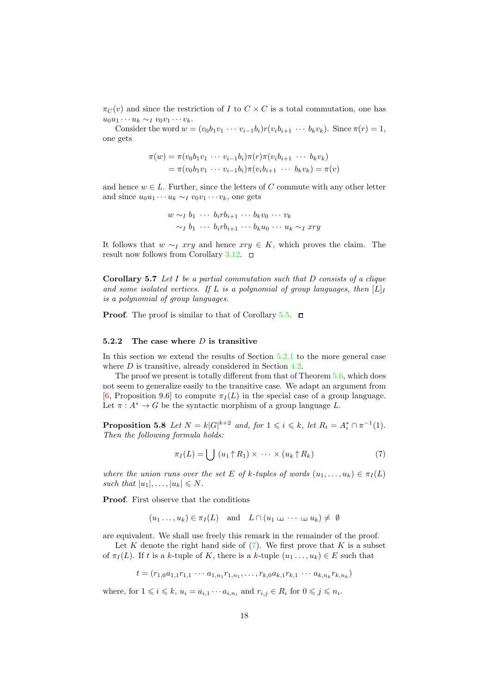$\pi_C(v)$  and since the restriction of I to  $C \times C$  is a total commutation, one has  $u_0u_1 \cdots u_k \sim_l v_0v_1 \cdots v_k.$ 

Consider the word  $w = (v_0b_1v_1 \cdots v_{i-1}b_i)r(v_ib_{i+1} \cdots b_kv_k)$ . Since  $\pi(r) = 1$ , one gets

$$
\pi(w) = \pi(v_0 b_1 v_1 \cdots v_{i-1} b_i) \pi(r) \pi(v_i b_{i+1} \cdots b_k v_k)
$$
  
=  $\pi(v_0 b_1 v_1 \cdots v_{i-1} b_i) \pi(v_i b_{i+1} \cdots b_k v_k) = \pi(v)$ 

and hence  $w \in L$ . Further, since the letters of C commute with any other letter and since  $u_0u_1 \cdots u_k \sim_l v_0v_1 \cdots v_k$ , one gets

$$
w \sim_I b_1 \cdots b_i r b_{i+1} \cdots b_k v_0 \cdots v_k
$$
  
\sim\_I b\_1 \cdots b\_i r b\_{i+1} \cdots b\_k u\_0 \cdots u\_k \sim\_I x r y

It follows that  $w \sim_l xry$  and hence  $xry \in K$ , which proves the claim. The result now follows from Corollary [3.12.](#page-9-4)  $\Box$ 

**Corollary 5.7** Let I be a partial commutation such that D consists of a clique and some isolated vertices. If L is a polynomial of group languages, then  $[L]_I$ is a polynomial of group languages.

**Proof.** The proof is similar to that of Corollary  $5.\overline{5}$ .  $\Box$ 

#### 5.2.2 The case where  $D$  is transitive

In this section we extend the results of Section [5.2.1](#page-16-0) to the more general case where  $D$  is transitive, already considered in Section [4.2.](#page-11-0)

The proof we present is totally different from that of Theorem [5.6,](#page-16-1) which does not seem to generalize easily to the transitive case. We adapt an argument from [\[6,](#page-29-10) Proposition 9.6] to compute  $\pi_I(L)$  in the special case of a group language. Let  $\pi: A^* \to G$  be the syntactic morphism of a group language L.

<span id="page-17-1"></span>**Proposition 5.8** Let  $N = k |G|^{k+2}$  and, for  $1 \leq i \leq k$ , let  $R_i = A_i^* \cap \pi^{-1}(1)$ . Then the following formula holds:

<span id="page-17-0"></span>
$$
\pi_I(L) = \bigcup (u_1 \uparrow R_1) \times \cdots \times (u_k \uparrow R_k) \tag{7}
$$

where the union runs over the set E of k-tuples of words  $(u_1, \ldots, u_k) \in \pi_I(L)$ such that  $|u_1|, \ldots, |u_k| \leq N$ .

Proof. First observe that the conditions

$$
(u_1 \ldots, u_k) \in \pi_I(L)
$$
 and  $L \cap (u_1 \sqcup \cdots \sqcup u_k) \neq \emptyset$ 

are equivalent. We shall use freely this remark in the remainder of the proof.

Let  $K$  denote the right hand side of  $(7)$ . We first prove that  $K$  is a subset of  $\pi_I(L)$ . If t is a k-tuple of K, there is a k-tuple  $(u_1, \ldots, u_k) \in E$  such that

$$
t = (r_{1,0}a_{1,1}r_{1,1}\cdots a_{1,n_1}r_{1,n_1},\ldots,r_{k,0}a_{k,1}r_{k,1}\cdots a_{k,n_k}r_{k,n_k})
$$

where, for  $1 \leqslant i \leqslant k$ ,  $u_i = a_{i,1} \cdots a_{i,n_i}$  and  $r_{i,j} \in R_i$  for  $0 \leqslant j \leqslant n_i$ .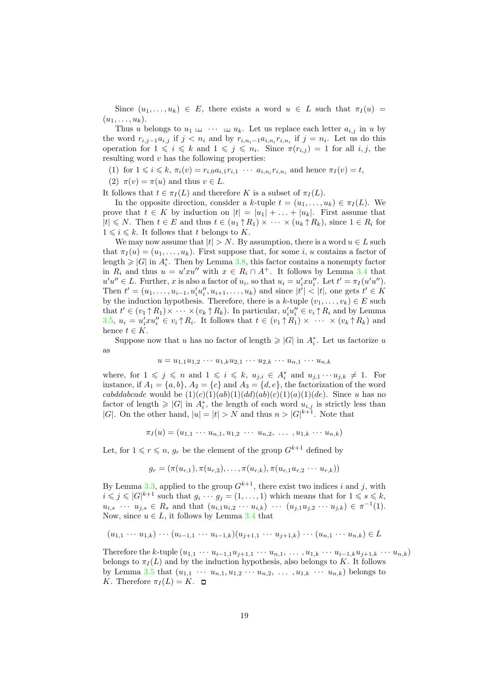Since  $(u_1, \ldots, u_k) \in E$ , there exists a word  $u \in L$  such that  $\pi_I(u) =$  $(u_1, \ldots, u_k).$ 

Thus u belongs to  $u_1 \sqcup \cdots \sqcup u_k$ . Let us replace each letter  $a_{i,j}$  in u by the word  $r_{i,j-1}a_{i,j}$  if  $j < n_i$  and by  $r_{i,n_i-1}a_{i,n_i}r_{i,n_i}$  if  $j = n_i$ . Let us do this operation for  $1 \leq i \leq k$  and  $1 \leq j \leq n_i$ . Since  $\pi(r_{i,j}) = 1$  for all  $i, j$ , the resulting word  $v$  has the following properties:

- (1) for  $1 \le i \le k$ ,  $\pi_i(v) = r_{i,0} a_{i,1} r_{i,1} \cdots a_{i,n_i} r_{i,n_i}$  and hence  $\pi_I(v) = t$ ,
- (2)  $\pi(v) = \pi(u)$  and thus  $v \in L$ .

It follows that  $t \in \pi_I(L)$  and therefore K is a subset of  $\pi_I(L)$ .

In the opposite direction, consider a k-tuple  $t = (u_1, \ldots, u_k) \in \pi_I(L)$ . We prove that  $t \in K$  by induction on  $|t| = |u_1| + \ldots + |u_k|$ . First assume that  $|t| \leq N$ . Then  $t \in E$  and thus  $t \in (u_1 \uparrow R_1) \times \cdots \times (u_k \uparrow R_k)$ , since  $1 \in R_i$  for  $1 \leq i \leq k$ . It follows that t belongs to K.

We may now assume that  $|t| > N$ . By assumption, there is a word  $u \in L$  such that  $\pi_I(u) = (u_1, \ldots, u_k)$ . First suppose that, for some i, u contains a factor of length  $\geqslant |G|$  in  $A_i^*$ . Then by Lemma [3.8,](#page-8-1) this factor contains a nonempty factor in  $R_i$  and thus  $u = u' x u''$  with  $x \in R_i \cap A^+$ . It follows by Lemma [3.4](#page-7-2) that  $u'u'' \in L$ . Further, x is also a factor of  $u_i$ , so that  $u_i = u'_i x u''_i$ . Let  $t' = \pi_I(u'u'')$ . Then  $t' = (u_1, \ldots, u_{i-1}, u'_i u''_i, u_{i+1}, \ldots, u_k)$  and since  $|t'| < |t|$ , one gets  $t' \in K$ by the induction hypothesis. Therefore, there is a k-tuple  $(v_1, \ldots, v_k) \in E$  such that  $t' \in (v_1 \uparrow R_1) \times \cdots \times (v_k \uparrow R_k)$ . In particular,  $u'_i u''_i \in v_i \uparrow R_i$  and by Lemma [3.5,](#page-8-0)  $u_i = u'_i x u''_i \in v_i \uparrow R_i$ . It follows that  $t \in (v_1 \uparrow R_1) \times \cdots \times (v_k \uparrow R_k)$  and hence  $t \in K$ .

Suppose now that u has no factor of length  $\geqslant |G|$  in  $A_i^*$ . Let us factorize u as

$$
u = u_{1,1}u_{1,2}\cdots u_{1,k}u_{2,1}\cdots u_{2,k}\cdots u_{n,1}\cdots u_{n,k}
$$

where, for  $1 \leqslant j \leqslant n$  and  $1 \leqslant i \leqslant k$ ,  $u_{j,i} \in A_i^*$  and  $u_{j,1} \cdots u_{j,k} \neq 1$ . For instance, if  $A_1 = \{a, b\}$ ,  $A_2 = \{c\}$  and  $A_3 = \{d, e\}$ , the factorization of the word cabddabcade would be  $(1)(c)(1)(ab)(1)(dd)(ab)(c)(1)(a)(1)(de)$ . Since u has no factor of length  $\geqslant |G|$  in  $A_i^*$ , the length of each word  $u_{i,j}$  is strictly less than |G|. On the other hand,  $|u|=|t|>N$  and thus  $n>|G|^{k+1}$ . Note that

$$
\pi_I(u) = (u_{1,1} \cdots u_{n,1}, u_{1,2} \cdots u_{n,2}, \ldots, u_{1,k} \cdots u_{n,k})
$$

Let, for  $1 \leq r \leq n$ ,  $g_r$  be the element of the group  $G^{k+1}$  defined by

$$
g_r = (\pi(u_{r,1}), \pi(u_{r,2}), \ldots, \pi(u_{r,k}), \pi(u_{r,1}u_{r,2} \cdots u_{r,k}))
$$

By Lemma [3.3,](#page-7-3) applied to the group  $G^{k+1}$ , there exist two indices i and j, with  $i \leq j \leq |G|^{k+1}$  such that  $g_i \cdots g_j = (1, \ldots, 1)$  which means that for  $1 \leq s \leq k$ ,  $u_{i,s} \cdots u_{j,s} \in R_s$  and that  $(u_{i,1}u_{i,2} \cdots u_{i,k}) \cdots (u_{j,1}u_{j,2} \cdots u_{j,k}) \in \pi^{-1}(1)$ . Now, since  $u \in L$ , it follows by Lemma [3.4](#page-7-2) that

$$
(u_{1,1} \cdots u_{1,k}) \cdots (u_{i-1,1} \cdots u_{i-1,k})(u_{j+1,1} \cdots u_{j+1,k}) \cdots (u_{n,1} \cdots u_{n,k}) \in L
$$

<span id="page-18-0"></span>Therefore the k-tuple  $(u_{1,1} \cdots u_{i-1,1}u_{j+1,1} \cdots u_{n,1}, \ldots, u_{1,k} \cdots u_{i-1,k}u_{j+1,k} \cdots u_{n,k})$ belongs to  $\pi_I(L)$  and by the induction hypothesis, also belongs to K. It follows by Lemma [3.5](#page-8-0) that  $(u_{1,1} \cdots u_{n,1}, u_{1,2} \cdots u_{n,2}, \ldots, u_{1,k} \cdots u_{n,k})$  belongs to K. Therefore  $\pi_I(L) = K$ .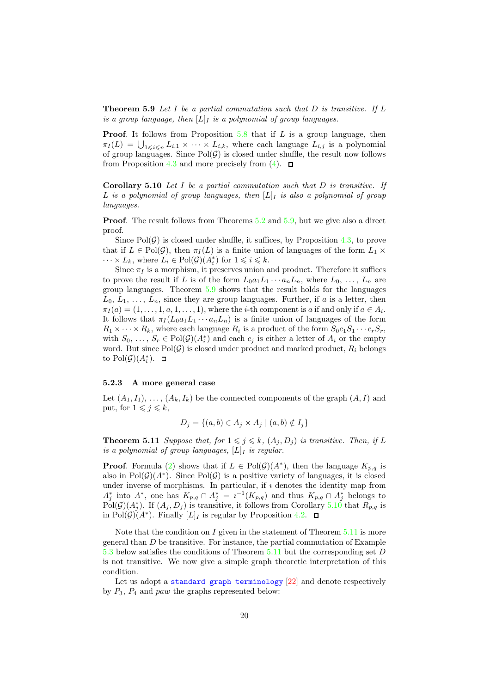**Theorem 5.9** Let I be a partial commutation such that  $D$  is transitive. If  $L$ is a group language, then  $[L]_I$  is a polynomial of group languages.

**Proof.** It follows from Proposition  $5.8$  that if L is a group language, then  $\pi_I(L) = \bigcup_{1 \leq i \leq n} L_{i,1} \times \cdots \times L_{i,k}$ , where each language  $L_{i,j}$  is a polynomial of group languages. Since  $Pol(\mathcal{G})$  is closed under shuffle, the result now follows from Proposition [4.3](#page-12-2) and more precisely from [\(4\)](#page-12-0).  $\Box$ 

<span id="page-19-0"></span>**Corollary 5.10** Let  $I$  be a partial commutation such that  $D$  is transitive. If L is a polynomial of group languages, then  $[L]$  is also a polynomial of group languages.

**Proof.** The result follows from Theorems [5.2](#page-13-2) and [5.9,](#page-18-0) but we give also a direct proof.

Since  $Pol(\mathcal{G})$  is closed under shuffle, it suffices, by Proposition [4.3,](#page-12-2) to prove that if  $L \in Pol(G)$ , then  $\pi_I(L)$  is a finite union of languages of the form  $L_1 \times$  $\cdots \times L_k$ , where  $L_i \in \text{Pol}(\mathcal{G})(A_i^*)$  for  $1 \leq i \leq k$ .

Since  $\pi_I$  is a morphism, it preserves union and product. Therefore it suffices to prove the result if L is of the form  $L_0a_1L_1\cdots a_nL_n$ , where  $L_0, \ldots, L_n$  are group languages. Theorem [5.9](#page-18-0) shows that the result holds for the languages  $L_0, L_1, \ldots, L_n$ , since they are group languages. Further, if a is a letter, then  $\pi_I(a) = (1, \ldots, 1, a, 1, \ldots, 1)$ , where the *i*-th component is a if and only if  $a \in A_i$ . It follows that  $\pi_I (L_0 a_1 L_1 \cdots a_n L_n)$  is a finite union of languages of the form  $R_1 \times \cdots \times R_k$ , where each language  $R_i$  is a product of the form  $S_0 c_1 S_1 \cdots c_r S_r$ , with  $S_0, \ldots, S_r \in Pol(\mathcal{G})(A_i^*)$  and each  $c_j$  is either a letter of  $A_i$  or the empty word. But since  $Pol(\mathcal{G})$  is closed under product and marked product,  $R_i$  belongs to  $Pol(\mathcal{G})(A_i^*).$ 

#### 5.2.3 A more general case

Let  $(A_1, I_1), \ldots, (A_k, I_k)$  be the connected components of the graph  $(A, I)$  and put, for  $1 \leqslant j \leqslant k$ ,

$$
D_j = \{(a, b) \in A_j \times A_j \mid (a, b) \notin I_j\}
$$

<span id="page-19-1"></span>**Theorem 5.11** Suppose that, for  $1 \leq i \leq k$ ,  $(A_i, D_i)$  is transitive. Then, if L is a polynomial of group languages,  $[L]_I$  is regular.

**Proof.** Formula [\(2\)](#page-10-1) shows that if  $L \in Pol(\mathcal{G})(A^*)$ , then the language  $K_{p,q}$  is also in  $Pol(\mathcal{G})(A^*)$ . Since  $Pol(\mathcal{G})$  is a positive variety of languages, it is closed under inverse of morphisms. In particular, if  $\imath$  denotes the identity map from  $A_j^*$  into  $A^*$ , one has  $K_{p,q} \cap A_j^* = i^{-1}(K_{p,q})$  and thus  $K_{p,q} \cap A_j^*$  belongs to  $\text{Pol}(\mathcal{G})(A_j^*)$ . If  $(A_j, D_j)$  is transitive, it follows from Corollary [5.10](#page-19-0) that  $R_{p,q}$  is in  $Pol(\mathcal{G})(A^*)$ . Finally  $[L]_I$  is regular by Proposition [4.2.](#page-11-1)

Note that the condition on I given in the statement of Theorem  $5.11$  is more general than D be transitive. For instance, the partial commutation of Example [5.3](#page-20-0) below satisfies the conditions of Theorem [5.11](#page-19-1) but the corresponding set D is not transitive. We now give a simple graph theoretic interpretation of this condition.

Let us adopt a [standard graph terminology](http://www.graphclasses.org/smallgraphs.html#nodes4) [\[22\]](#page-30-13) and denote respectively by  $P_3$ ,  $P_4$  and paw the graphs represented below: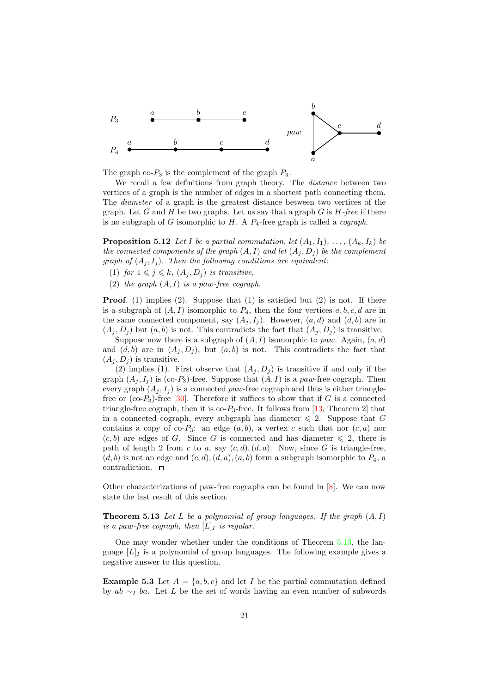

The graph co- $P_3$  is the complement of the graph  $P_3$ .

We recall a few definitions from graph theory. The distance between two vertices of a graph is the number of edges in a shortest path connecting them. The diameter of a graph is the greatest distance between two vertices of the graph. Let G and H be two graphs. Let us say that a graph  $G$  is  $H$ -free if there is no subgraph of G isomorphic to  $H$ . A  $P_4$ -free graph is called a *cograph*.

**Proposition 5.12** Let I be a partial commutation, let  $(A_1, I_1), \ldots, (A_k, I_k)$  be the connected components of the graph  $(A, I)$  and let  $(A_i, D_j)$  be the complement graph of  $(A_j, I_j)$ . Then the following conditions are equivalent:

- (1) for  $1 \leq j \leq k$ ,  $(A_j, D_j)$  is transitive,
- (2) the graph  $(A, I)$  is a paw-free cograph.

**Proof.** (1) implies (2). Suppose that (1) is satisfied but (2) is not. If there is a subgraph of  $(A, I)$  isomorphic to  $P_4$ , then the four vertices  $a, b, c, d$  are in the same connected component, say  $(A_i, I_i)$ . However,  $(a, d)$  and  $(d, b)$  are in  $(A_i, D_i)$  but  $(a, b)$  is not. This contradicts the fact that  $(A_i, D_i)$  is transitive.

Suppose now there is a subgraph of  $(A, I)$  isomorphic to paw. Again,  $(a, d)$ and  $(d, b)$  are in  $(A_i, D_i)$ , but  $(a, b)$  is not. This contradicts the fact that  $(A_i, D_i)$  is transitive.

(2) implies (1). First observe that  $(A_i, D_i)$  is transitive if and only if the graph  $(A_j, I_j)$  is (co-P<sub>3</sub>)-free. Suppose that  $(A, I)$  is a paw-free cograph. Then every graph  $(A_i, I_j)$  is a connected paw-free cograph and thus is either trianglefree or  $(co-P_3)$ -free [\[30\]](#page-30-14). Therefore it suffices to show that if G is a connected triangle-free cograph, then it is  $\text{co-}P_3$ -free. It follows from [\[13,](#page-29-14) Theorem 2] that in a connected cograph, every subgraph has diameter  $\leq 2$ . Suppose that G contains a copy of co-P<sub>3</sub>: an edge  $(a, b)$ , a vertex c such that nor  $(c, a)$  nor  $(c, b)$  are edges of G. Since G is connected and has diameter  $\leq 2$ , there is path of length 2 from c to a, say  $(c, d), (d, a)$ . Now, since G is triangle-free,  $(d, b)$  is not an edge and  $(c, d), (d, a), (a, b)$  form a subgraph isomorphic to  $P_4$ , a contradiction.  $\Box$ 

<span id="page-20-1"></span>Other characterizations of paw-free cographs can be found in [\[8\]](#page-29-15). We can now state the last result of this section.

**Theorem 5.13** Let L be a polynomial of group languages. If the graph  $(A, I)$ is a paw-free cograph, then  $[L]_I$  is regular.

One may wonder whether under the conditions of Theorem [5.13,](#page-20-1) the language  $[L]_I$  is a polynomial of group languages. The following example gives a negative answer to this question.

<span id="page-20-0"></span>**Example 5.3** Let  $A = \{a, b, c\}$  and let I be the partial commutation defined by  $ab \sim_L ba$ . Let L be the set of words having an even number of subwords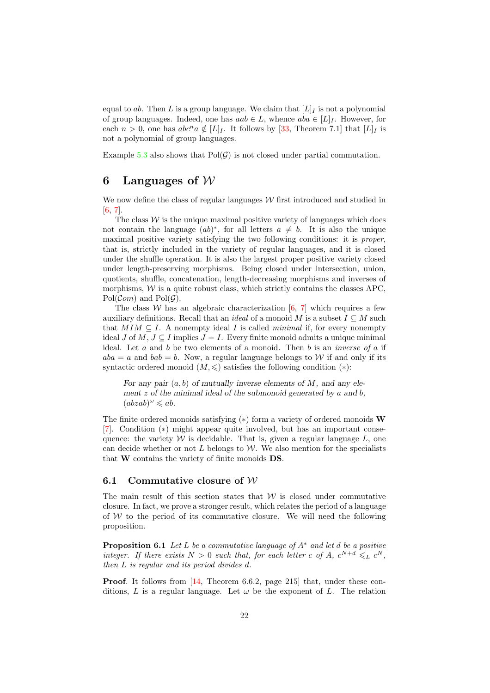equal to ab. Then L is a group language. We claim that  $[L]_I$  is not a polynomial of group languages. Indeed, one has  $aab \in L$ , whence  $aba \in [L]_I$ . However, for each  $n > 0$ , one has  $abc^n a \notin [L]_I$ . It follows by [\[33,](#page-30-12) Theorem 7.1] that  $[L]_I$  is not a polynomial of group languages.

Example [5.3](#page-20-0) also shows that  $Pol(\mathcal{G})$  is not closed under partial commutation.

## <span id="page-21-0"></span>6 Languages of  $W$

We now define the class of regular languages  $W$  first introduced and studied in [\[6,](#page-29-10) [7\]](#page-29-9).

The class  $W$  is the unique maximal positive variety of languages which does not contain the language  $(ab)^*$ , for all letters  $a \neq b$ . It is also the unique maximal positive variety satisfying the two following conditions: it is proper, that is, strictly included in the variety of regular languages, and it is closed under the shuffle operation. It is also the largest proper positive variety closed under length-preserving morphisms. Being closed under intersection, union, quotients, shuffle, concatenation, length-decreasing morphisms and inverses of morphisms,  $W$  is a quite robust class, which strictly contains the classes APC.  $Pol(\mathcal{C}om)$  and  $Pol(\mathcal{G})$ .

The class W has an algebraic characterization  $[6, 7]$  $[6, 7]$  which requires a few auxiliary definitions. Recall that an *ideal* of a monoid M is a subset  $I \subseteq M$  such that  $MIM \subseteq I$ . A nonempty ideal I is called *minimal* if, for every nonempty ideal J of M,  $J \subseteq I$  implies  $J = I$ . Every finite monoid admits a unique minimal ideal. Let  $a$  and  $b$  be two elements of a monoid. Then  $b$  is an *inverse of*  $a$  if  $aba = a$  and  $bab = b$ . Now, a regular language belongs to W if and only if its syntactic ordered monoid  $(M, \leqslant)$  satisfies the following condition  $(*)$ :

For any pair  $(a, b)$  of mutually inverse elements of M, and any element  $z$  of the minimal ideal of the submonoid generated by  $a$  and  $b$ ,  $(abzab)^{\omega} \leq ab.$ 

The finite ordered monoids satisfying  $(*)$  form a variety of ordered monoids W [\[7\]](#page-29-9). Condition (∗) might appear quite involved, but has an important consequence: the variety  $W$  is decidable. That is, given a regular language  $L$ , one can decide whether or not L belongs to  $\mathcal W$ . We also mention for the specialists that W contains the variety of finite monoids DS.

#### 6.1 Commutative closure of  $W$

The main result of this section states that  $W$  is closed under commutative closure. In fact, we prove a stronger result, which relates the period of a language of  $W$  to the period of its commutative closure. We will need the following proposition.

<span id="page-21-1"></span>**Proposition 6.1** Let L be a commutative language of  $A^*$  and let d be a positive integer. If there exists  $N > 0$  such that, for each letter c of A,  $c^{N+d} \leq L c^N$ , then L is regular and its period divides d.

Proof. It follows from [\[14,](#page-29-11) Theorem 6.6.2, page 215] that, under these conditions, L is a regular language. Let  $\omega$  be the exponent of L. The relation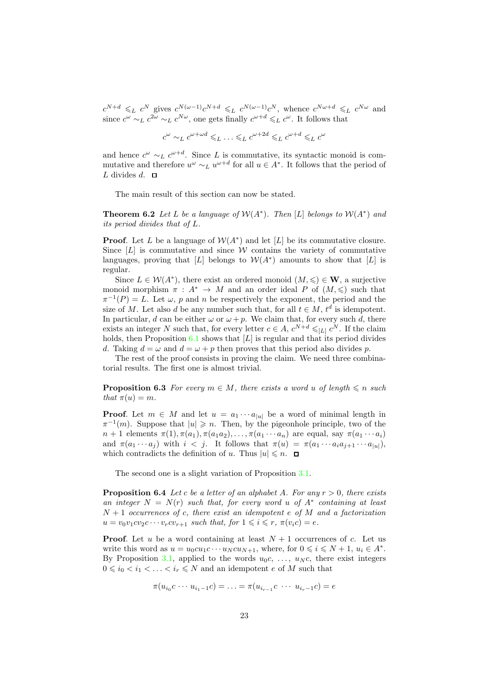$c^{N+d} \leqslant_L c^N$  gives  $c^{N(\omega-1)}c^{N+d} \leqslant_L c^{N(\omega-1)}c^N$ , whence  $c^{N(\omega+d)} \leqslant_L c^{N(\omega)}$  and since  $c^{\omega} \sim_L c^{2\omega} \sim_L c^{N\omega}$ , one gets finally  $c^{\omega+d} \leq_L c^{\omega}$ . It follows that

 $c^{\omega} \sim_L c^{\omega + \omega d} \leq L \ldots \leq_L c^{\omega + 2d} \leq_L c^{\omega + d} \leq_L c^{\omega}$ 

and hence  $c^{\omega} \sim_L c^{\omega+d}$ . Since L is commutative, its syntactic monoid is commutative and therefore  $u^{\omega} \sim_L u^{\omega+d}$  for all  $u \in A^*$ . It follows that the period of L divides  $d. \square$ 

<span id="page-22-0"></span>The main result of this section can now be stated.

**Theorem 6.2** Let L be a language of  $W(A^*)$ . Then [L] belongs to  $W(A^*)$  and its period divides that of L.

**Proof.** Let L be a language of  $W(A^*)$  and let [L] be its commutative closure. Since  $[L]$  is commutative and since W contains the variety of commutative languages, proving that [L] belongs to  $W(A^*)$  amounts to show that [L] is regular.

Since  $L \in \mathcal{W}(A^*)$ , there exist an ordered monoid  $(M, \leqslant) \in \mathbf{W}$ , a surjective monoid morphism  $\pi : A^* \to M$  and an order ideal P of  $(M, \leqslant)$  such that  $\pi^{-1}(P) = L$ . Let  $\omega$ , p and n be respectively the exponent, the period and the size of M. Let also d be any number such that, for all  $t \in M$ ,  $t^d$  is idempotent. In particular, d can be either  $\omega$  or  $\omega + p$ . We claim that, for every such d, there exists an integer N such that, for every letter  $c \in A$ ,  $c^{N+d} \leqslant_{[L]} c^N$ . If the claim holds, then Proposition [6.1](#page-21-1) shows that  $[L]$  is regular and that its period divides d. Taking  $d = \omega$  and  $d = \omega + p$  then proves that this period also divides p.

<span id="page-22-1"></span>The rest of the proof consists in proving the claim. We need three combinatorial results. The first one is almost trivial.

**Proposition 6.3** For every  $m \in M$ , there exists a word u of length  $\leq n$  such that  $\pi(u) = m$ .

**Proof.** Let  $m \in M$  and let  $u = a_1 \cdots a_{|u|}$  be a word of minimal length in  $\pi^{-1}(m)$ . Suppose that  $|u| \geq n$ . Then, by the pigeonhole principle, two of the  $n+1$  elements  $\pi(1), \pi(a_1), \pi(a_1a_2), \ldots, \pi(a_1 \cdots a_n)$  are equal, say  $\pi(a_1 \cdots a_i)$ and  $\pi(a_1 \cdots a_j)$  with  $i < j$ . It follows that  $\pi(u) = \pi(a_1 \cdots a_i a_{j+1} \cdots a_{|u|}),$ which contradicts the definition of u. Thus  $|u| \leq n$ .  $\Box$ 

<span id="page-22-2"></span>The second one is a slight variation of Proposition [3.1.](#page-7-1)

**Proposition 6.4** Let c be a letter of an alphabet A. For any  $r > 0$ , there exists an integer  $N = N(r)$  such that, for every word u of  $A^*$  containing at least  $N + 1$  occurrences of c, there exist an idempotent e of M and a factorization  $u = v_0v_1cv_2c\cdots v_rcv_{r+1}$  such that, for  $1 \leq i \leq r$ ,  $\pi(v_ic) = e$ .

**Proof.** Let u be a word containing at least  $N + 1$  occurrences of c. Let us write this word as  $u = u_0cu_1c \cdots u_Ncu_{N+1}$ , where, for  $0 \leq i \leq N+1$ ,  $u_i \in A^*$ . By Proposition [3.1,](#page-7-1) applied to the words  $u_0c, \ldots, u_Nc$ , there exist integers  $0 \leq i_0 < i_1 < \ldots < i_r \leq N$  and an idempotent e of M such that

$$
\pi(u_{i_0}c\cdots u_{i_1-1}c)=\ldots=\pi(u_{i_{r-1}}c\cdots u_{i_r-1}c)=e
$$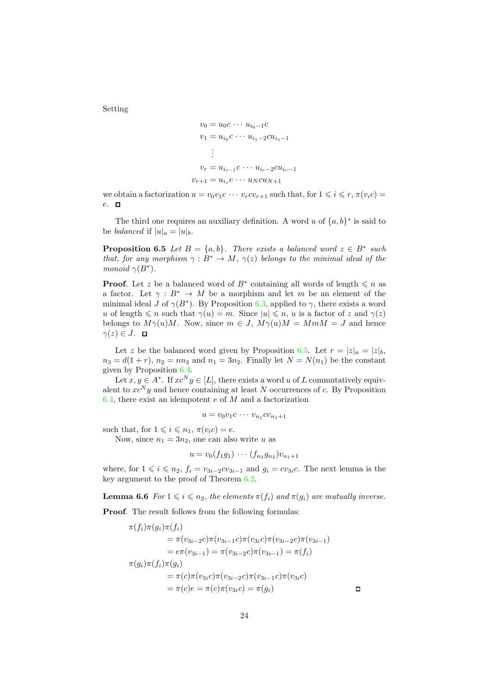Setting

$$
v_0 = u_0 c \cdots u_{i_0 - 1} c
$$
  
\n
$$
v_1 = u_{i_0} c \cdots u_{i_1 - 2} c u_{i_1 - 1}
$$
  
\n
$$
\vdots
$$
  
\n
$$
v_r = u_{i_{r-1}} c \cdots u_{i_r - 2} c u_{i_r - 1}
$$
  
\n
$$
v_{r+1} = u_{i_r} c \cdots u_N c u_{N+1}
$$

we obtain a factorization  $u = v_0v_1c \cdots v_rcv_{r+1}$  such that, for  $1 \leq i \leq r$ ,  $\pi(v_ic)$ e.  $\Box$ 

<span id="page-23-0"></span>The third one requires an auxiliary definition. A word u of  $\{a, b\}^*$  is said to be *balanced* if  $|u|_a = |u|_b$ .

**Proposition 6.5** Let  $B = \{a, b\}$ . There exists a balanced word  $z \in B^*$  such that, for any morphism  $\gamma : B^* \to M$ ,  $\gamma(z)$  belongs to the minimal ideal of the monoid  $\gamma(B^*)$ .

**Proof.** Let z be a balanced word of  $B^*$  containing all words of length  $\leq n$  as a factor. Let  $\gamma : B^* \to M$  be a morphism and let m be an element of the minimal ideal J of  $\gamma(B^*)$ . By Proposition [6.3,](#page-22-1) applied to  $\gamma$ , there exists a word u of length  $\leq n$  such that  $\gamma(u) = m$ . Since  $|u| \leq n$ , u is a factor of z and  $\gamma(z)$ belongs to  $M\gamma(u)M$ . Now, since  $m \in J$ ,  $M\gamma(u)M = MmM = J$  and hence  $\gamma(z) \in J$ .  $\Box$ 

Let z be the balanced word given by Proposition [6.5.](#page-23-0) Let  $r = |z|_a = |z|_b$ ,  $n_3 = d(1 + r)$ ,  $n_2 = nn_3$  and  $n_1 = 3n_2$ . Finally let  $N = N(n_1)$  be the constant given by Proposition [6.4.](#page-22-2)

Let  $x, y \in A^*$ . If  $xc^N y \in [L]$ , there exists a word u of L commutatively equivalent to  $xc^Ny$  and hence containing at least N occurrences of c. By Proposition [6.4,](#page-22-2) there exist an idempotent  $e$  of  $M$  and a factorization

$$
u = v_0v_1c \cdots v_{n_1}cv_{n_1+1}
$$

such that, for  $1 \leq i \leq n_1$ ,  $\pi(v_i c) = e$ .

Now, since  $n_1 = 3n_2$ , one can also write u as

$$
u = v_0(f_1g_1) \cdots (f_{n_2}g_{n_2})v_{n_1+1}
$$

where, for  $1 \leq i \leq n_2$ ,  $f_i = v_{3i-2}cv_{3i-1}$  and  $g_i = cv_{3i}c$ . The next lemma is the key argument to the proof of Theorem [6.2.](#page-22-0)

**Lemma 6.6** For  $1 \leq i \leq n_2$ , the elements  $\pi(f_i)$  and  $\pi(g_i)$  are mutually inverse.

Proof. The result follows from the following formulas:

$$
\pi(f_i)\pi(g_i)\pi(f_i)
$$
  
=  $\pi(v_{3i-2}c)\pi(v_{3i-1}c)\pi(v_{3i}c)\pi(v_{3i-2}c)\pi(v_{3i-1})$   
=  $e\pi(v_{3i-1}) = \pi(v_{3i-2}c)\pi(v_{3i-1}) = \pi(f_i)$   

$$
\pi(g_i)\pi(f_i)\pi(g_i)
$$
  
=  $\pi(c)\pi(v_{3i}c)\pi(v_{3i-2}c)\pi(v_{3i-1}c)\pi(v_{3i}c)$   
=  $\pi(c)e = \pi(c)\pi(v_{3i}c) = \pi(g_i)$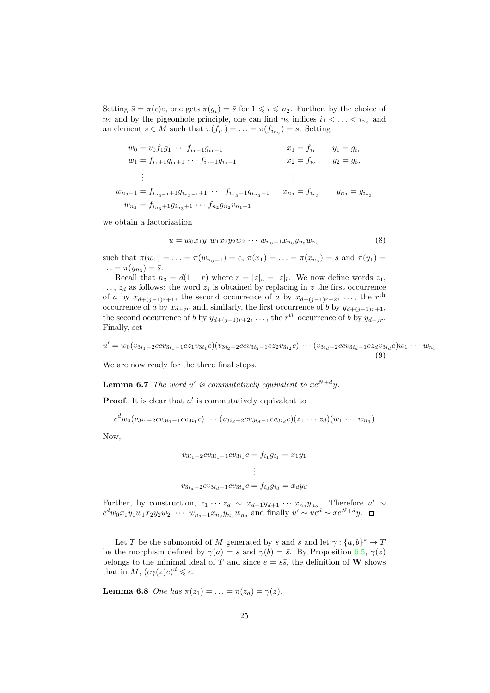Setting  $\bar{s} = \pi(c)e$ , one gets  $\pi(g_i) = \bar{s}$  for  $1 \leq i \leq n_2$ . Further, by the choice of  $n_2$  and by the pigeonhole principle, one can find  $n_3$  indices  $i_1 < \ldots < i_{n_3}$  and an element  $s \in M$  such that  $\pi(f_{i_1}) = \ldots = \pi(f_{i_{n_3}}) = s$ . Setting

$$
w_0 = v_0 f_1 g_1 \cdots f_{i_1 - 1} g_{i_1 - 1}
$$
  
\n
$$
w_1 = f_{i_1 + 1} g_{i_1 + 1} \cdots f_{i_2 - 1} g_{i_2 - 1}
$$
  
\n
$$
w_2 = f_{i_2}
$$
  
\n
$$
w_3 - 1 = f_{i_{n_3 - 1} + 1} g_{i_{n_3 - 1} + 1} \cdots f_{i_{n_3} - 1} g_{i_{n_3} - 1}
$$
  
\n
$$
w_{n_3} = f_{i_{n_3} + 1} g_{i_{n_3} + 1} \cdots f_{n_2} g_{n_2} v_{n_1 + 1}
$$
  
\n
$$
w_{n_1} = g_{i_{n_1}}
$$
  
\n
$$
w_{n_2} = f_{i_{n_3}}
$$
  
\n
$$
w_{n_3} = g_{i_{n_3}}
$$

we obtain a factorization

<span id="page-24-0"></span>
$$
u = w_0 x_1 y_1 w_1 x_2 y_2 w_2 \cdots w_{n_3 - 1} x_{n_3} y_{n_3} w_{n_3} \tag{8}
$$

such that  $\pi(w_1) = \ldots = \pi(w_{n_3-1}) = e, \, \pi(x_1) = \ldots = \pi(x_{n_3}) = s$  and  $\pi(y_1) =$  $\ldots = \pi(y_{n_3}) = \bar{s}.$ 

Recall that  $n_3 = d(1+r)$  where  $r = |z|_a = |z|_b$ . We now define words  $z_1$ ,  $..., z_d$  as follows: the word  $z_i$  is obtained by replacing in z the first occurrence of a by  $x_{d+(j-1)r+1}$ , the second occurrence of a by  $x_{d+(j-1)r+2}, \ldots$ , the r<sup>th</sup> occurrence of a by  $x_{d+jr}$  and, similarly, the first occurrence of b by  $y_{d+(j-1)r+1}$ , the second occurrence of b by  $y_{d+(j-1)r+2}, \ldots$ , the r<sup>th</sup> occurrence of b by  $y_{d+jr}$ . Finally, set

<span id="page-24-2"></span> $u' = w_0(v_{3i_1-2}ccv_{3i_1-1}cz_1v_{3i_1}c)(v_{3i_2-2}ccv_{3i_2-1}cz_2v_{3i_2}c) \cdots (v_{3i_d-2}ccv_{3i_d-1}cz_dv_{3i_d}c)w_1 \cdots w_{n_3}$ (9)

<span id="page-24-3"></span>We are now ready for the three final steps.

**Lemma 6.7** The word u' is commutatively equivalent to  $xc^{N+d}y$ .

**Proof.** It is clear that  $u'$  is commutatively equivalent to

$$
c^d w_0 (v_{3i_1-2} c v_{3i_1-1} c v_{3i_1} c) \cdots (v_{3i_d-2} c v_{3i_d-1} c v_{3i_d} c) (z_1 \cdots z_d) (w_1 \cdots w_{n_3})
$$

Now,

$$
v_{3i_1-2}cv_{3i_1-1}cv_{3i_1}c = f_{i_1}g_{i_1} = x_1y_1
$$
  
\n
$$
\vdots
$$
  
\n
$$
v_{3i_d-2}cv_{3i_d-1}cv_{3i_d}c = f_{i_d}g_{i_d} = x_dy_d
$$

Further, by construction,  $z_1 \cdots z_d \sim x_{d+1}y_{d+1} \cdots x_{n_3}y_{n_3}$ . Therefore  $u' \sim$  $c^d w_0 x_1 y_1 w_1 x_2 y_2 w_2 \cdots w_{n_3-1} x_{n_3} y_{n_3} w_{n_3}$  and finally  $u' \sim u c^d \sim x c^{N+d} y$ .

Let T be the submonoid of M generated by s and  $\bar{s}$  and let  $\gamma: \{a, b\}^* \to T$ be the morphism defined by  $\gamma(a) = s$  and  $\gamma(b) = \overline{s}$ . By Proposition [6.5,](#page-23-0)  $\gamma(z)$ belongs to the minimal ideal of T and since  $e = s\bar{s}$ , the definition of W shows that in M,  $(e\gamma(z)e)^d \leqslant e$ .

<span id="page-24-1"></span>**Lemma 6.8** One has  $\pi(z_1) = ... = \pi(z_d) = \gamma(z)$ .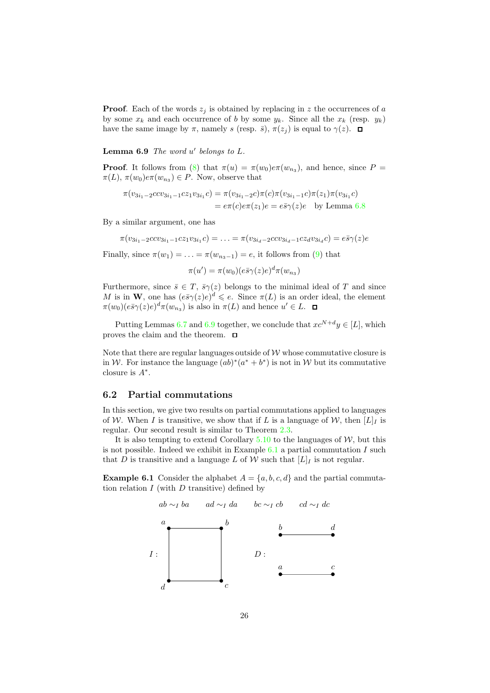**Proof.** Each of the words  $z_i$  is obtained by replacing in z the occurrences of a by some  $x_k$  and each occurrence of b by some  $y_k$ . Since all the  $x_k$  (resp.  $y_k$ ) have the same image by  $\pi$ , namely s (resp.  $\bar{s}$ ),  $\pi(z_i)$  is equal to  $\gamma(z)$ .  $\Box$ 

<span id="page-25-0"></span>**Lemma 6.9** The word  $u'$  belongs to  $L$ .

**Proof.** It follows from [\(8\)](#page-24-0) that  $\pi(u) = \pi(w_0)e\pi(w_{n_3})$ , and hence, since  $P =$  $\pi(L)$ ,  $\pi(w_0)e\pi(w_{n_3}) \in P$ . Now, observe that

$$
\pi(v_{3i_1-2}ccv_{3i_1-1}cz_1v_{3i_1}c) = \pi(v_{3i_1-2}c)\pi(c)\pi(v_{3i_1-1}c)\pi(z_1)\pi(v_{3i_1}c)
$$
  
=  $e\pi(c)e\pi(z_1)e = e\bar{s}\gamma(z)e$  by Lemma 6.8

By a similar argument, one has

 $\pi(v_{3i_1-2}ccv_{3i_1-1}cz_1v_{3i_1}c) = \ldots = \pi(v_{3i_d-2}ccv_{3i_d-1}cz_dv_{3i_d}c) = e\bar{s}\gamma(z)e$ 

Finally, since  $\pi(w_1) = \ldots = \pi(w_{n_3-1}) = e$ , it follows from [\(9\)](#page-24-2) that

$$
\pi(u') = \pi(w_0)(e\bar{s}\gamma(z)e)^d \pi(w_{n_3})
$$

Furthermore, since  $\bar{s} \in T$ ,  $\bar{s}\gamma(z)$  belongs to the minimal ideal of T and since M is in W, one has  $(e\bar{s}\gamma(z)e)^d \leqslant e$ . Since  $\pi(L)$  is an order ideal, the element  $\pi(w_0)(e\bar{s}\gamma(z)e)^d\pi(w_{n_3})$  is also in  $\pi(L)$  and hence  $u' \in L$ .

Putting Lemmas [6.7](#page-24-3) and [6.9](#page-25-0) together, we conclude that  $xc^{N+d}y \in [L]$ , which proves the claim and the theorem.  $\Box$ 

Note that there are regular languages outside of  $\mathcal W$  whose commutative closure is in W. For instance the language  $(ab)^*(a^* + b^*)$  is not in W but its commutative closure is  $A^*$ .

#### 6.2 Partial commutations

In this section, we give two results on partial commutations applied to languages of W. When I is transitive, we show that if L is a language of W, then  $[L]_I$  is regular. Our second result is similar to Theorem [2.3.](#page-5-1)

It is also tempting to extend Corollary  $5.10$  to the languages of W, but this is not possible. Indeed we exhibit in Example  $6.1$  a partial commutation I such that D is transitive and a language L of W such that  $[L]_I$  is not regular.

**Example 6.1** Consider the alphabet  $A = \{a, b, c, d\}$  and the partial commutation relation  $I$  (with  $D$  transitive) defined by

<span id="page-25-1"></span>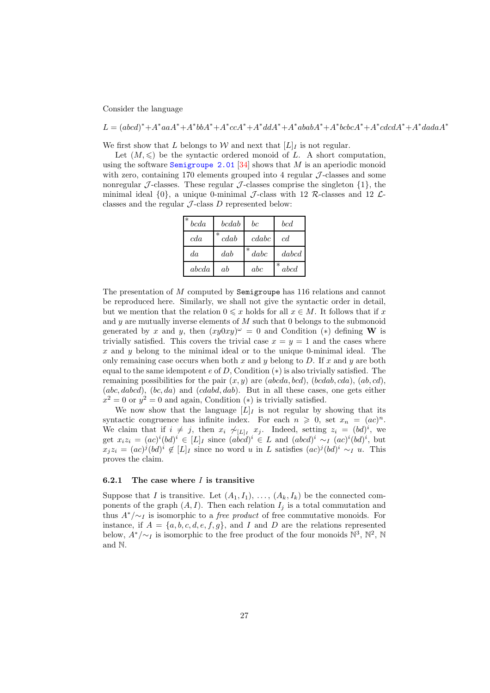Consider the language

 $L = (abcd)^* + A^*aaA^* + A^*bbA^* + A^*ccA^* + A^*dda^* + A^*ababA^* + A^*bcbcA^* + A^*cdcdA^* + A^*dadaA^*$ 

We first show that L belongs to W and next that  $[L]_I$  is not regular.

Let  $(M, \leqslant)$  be the syntactic ordered monoid of L. A short computation, using the software [Semigroupe 2.01](http://www.liafa.univ-paris-diderot.fr/~jep/Logiciels/Semigroupe2.0/semigroupe2.html) [\[34\]](#page-30-15) shows that M is an aperiodic monoid with zero, containing 170 elements grouped into 4 regular  $J$ -classes and some nonregular J-classes. These regular J-classes comprise the singleton  $\{1\}$ , the minimal ideal  $\{0\}$ , a unique 0-minimal J-class with 12 R-classes and 12 Lclasses and the regular  $J$ -class  $D$  represented below:

| $^\ast$<br>bcda | bcdab          | $_{bc}$        | bcd            |
|-----------------|----------------|----------------|----------------|
| cda             | $\ast$<br>cdab | cdabc          | cd             |
| da              | dab            | $\ast$<br>dabc | dabcd          |
| abcda           | ab             | abc            | $\ast$<br>abcd |

The presentation of M computed by Semigroupe has 116 relations and cannot be reproduced here. Similarly, we shall not give the syntactic order in detail, but we mention that the relation  $0 \leq x$  holds for all  $x \in M$ . It follows that if x and  $y$  are mutually inverse elements of  $M$  such that 0 belongs to the submonoid generated by x and y, then  $(xy0xy)^\omega = 0$  and Condition (\*) defining W is trivially satisfied. This covers the trivial case  $x = y = 1$  and the cases where x and y belong to the minimal ideal or to the unique 0-minimal ideal. The only remaining case occurs when both  $x$  and  $y$  belong to  $D$ . If  $x$  and  $y$  are both equal to the same idempotent  $e$  of  $D$ , Condition  $(*)$  is also trivially satisfied. The remaining possibilities for the pair  $(x, y)$  are (abcda, bcd), (bcdab, cda), (ab, cd),  $(abc, dabcd), (bc, da)$  and  $(cdabd, dab)$ . But in all these cases, one gets either  $x^2 = 0$  or  $y^2 = 0$  and again, Condition (\*) is trivially satisfied.

We now show that the language  $[L]_I$  is not regular by showing that its syntactic congruence has infinite index. For each  $n \geq 0$ , set  $x_n = (ac)^n$ . We claim that if  $i \neq j$ , then  $x_i \not\sim_{[L]_I} x_j$ . Indeed, setting  $z_i = (bd)^i$ , we get  $x_i z_i = (ac)^i (bd)^i \in [L]_I$  since  $(\dot{abcd})^i \in L$  and  $(\dot{abcd})^i \sim_I (ac)^i (bd)^i$ , but  $x_j z_i = (ac)^j (bd)^i \notin [L]_I$  since no word u in L satisfies  $(ac)^j (bd)^i \sim_I u$ . This proves the claim.

#### 6.2.1 The case where  $I$  is transitive

Suppose that I is transitive. Let  $(A_1, I_1), \ldots, (A_k, I_k)$  be the connected components of the graph  $(A, I)$ . Then each relation  $I_i$  is a total commutation and thus  $A^*/\sim I$  is isomorphic to a *free product* of free commutative monoids. For instance, if  $A = \{a, b, c, d, e, f, g\}$ , and I and D are the relations represented below,  $A^*/\sim_I$  is isomorphic to the free product of the four monoids  $\mathbb{N}^3$ ,  $\mathbb{N}^2$ ,  $\mathbb{N}$ and N.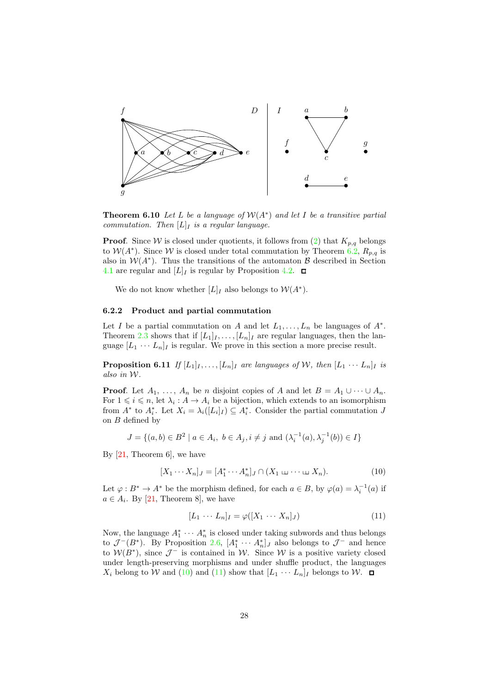

**Theorem 6.10** Let L be a language of  $W(A^*)$  and let I be a transitive partial commutation. Then  $[L]_I$  is a regular language.

**Proof.** Since W is closed under quotients, it follows from [\(2\)](#page-10-1) that  $K_{p,q}$  belongs to  $W(A^*)$ . Since W is closed under total commutation by Theorem [6.2,](#page-22-0)  $R_{p,q}$  is also in  $W(A^*)$ . Thus the transitions of the automaton  $\beta$  described in Section [4.1](#page-10-2) are regular and  $[L]_I$  is regular by Proposition [4.2.](#page-11-1)  $\Box$ 

We do not know whether  $[L]_I$  also belongs to  $\mathcal{W}(A^*)$ .

#### 6.2.2 Product and partial commutation

Let I be a partial commutation on A and let  $L_1, \ldots, L_n$  be languages of  $A^*$ . Theorem [2.3](#page-5-1) shows that if  $[L_1]_I, \ldots, [L_n]_I$  are regular languages, then the language  $[L_1 \cdots L_n]_I$  is regular. We prove in this section a more precise result.

**Proposition 6.11** If  $[L_1]_I, \ldots, [L_n]_I$  are languages of W, then  $[L_1 \cdots L_n]_I$  is also in W.

**Proof.** Let  $A_1, \ldots, A_n$  be n disjoint copies of A and let  $B = A_1 \cup \cdots \cup A_n$ . For  $1 \leq i \leq n$ , let  $\lambda_i : A \to A_i$  be a bijection, which extends to an isomorphism from  $A^*$  to  $A_i^*$ . Let  $X_i = \lambda_i([L_i]_I) \subseteq A_i^*$ . Consider the partial commutation J on B defined by

$$
J = \{(a, b) \in B^2 \mid a \in A_i, \ b \in A_j, i \neq j \text{ and } (\lambda_i^{-1}(a), \lambda_j^{-1}(b)) \in I\}
$$

By  $[21,$  Theorem 6, we have

<span id="page-27-0"></span>
$$
[X_1 \cdots X_n]_J = [A_1^* \cdots A_n^*]_J \cap (X_1 \sqcup \cdots \sqcup X_n). \tag{10}
$$

Let  $\varphi : B^* \to A^*$  be the morphism defined, for each  $a \in B$ , by  $\varphi(a) = \lambda_i^{-1}(a)$  if  $a \in A_i$ . By [\[21,](#page-29-6) Theorem 8], we have

<span id="page-27-1"></span>
$$
[L_1 \cdots L_n]_I = \varphi([X_1 \cdots X_n]_J) \tag{11}
$$

Now, the language  $A_1^* \cdots A_n^*$  is closed under taking subwords and thus belongs to  $\mathcal{J}^-(B^*)$ . By Proposition [2.6,](#page-6-0)  $[A_1^* \cdots A_n^*]_J$  also belongs to  $\mathcal{J}^-$  and hence to  $W(B^*)$ , since  $\mathcal{J}^-$  is contained in W. Since W is a positive variety closed under length-preserving morphisms and under shuffle product, the languages  $X_i$  belong to W and [\(10\)](#page-27-0) and [\(11\)](#page-27-1) show that  $[L_1 \cdots L_n]_I$  belongs to W.  $\Box$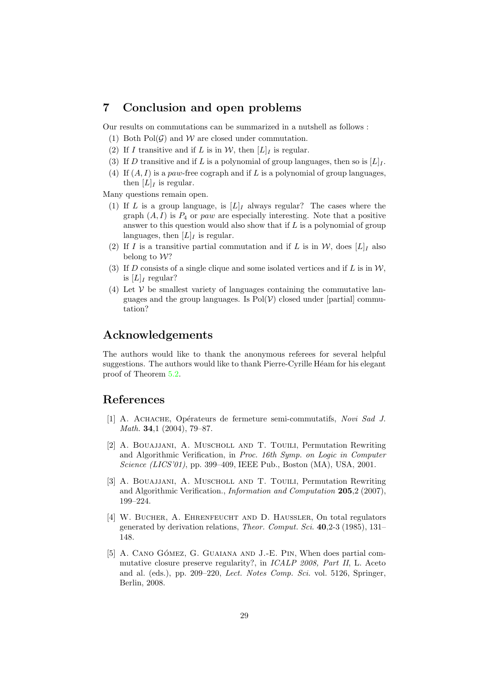## <span id="page-28-5"></span>7 Conclusion and open problems

Our results on commutations can be summarized in a nutshell as follows :

- (1) Both  $Pol(G)$  and W are closed under commutation.
- (2) If I transitive and if L is in  $W$ , then  $[L]$ <sub>I</sub> is regular.
- (3) If D transitive and if L is a polynomial of group languages, then so is  $[L]_I$ .
- (4) If  $(A, I)$  is a paw-free cograph and if L is a polynomial of group languages, then  $[L]_I$  is regular.

Many questions remain open.

- (1) If L is a group language, is  $[L]_I$  always regular? The cases where the graph  $(A, I)$  is  $P_4$  or paw are especially interesting. Note that a positive answer to this question would also show that if L is a polynomial of group languages, then  $[L]_I$  is regular.
- (2) If I is a transitive partial commutation and if L is in W, does  $[L]_I$  also belong to W?
- (3) If D consists of a single clique and some isolated vertices and if L is in  $\mathcal{W}$ , is  $[L]_I$  regular?
- (4) Let  $V$  be smallest variety of languages containing the commutative languages and the group languages. Is  $Pol(\mathcal{V})$  closed under [partial] commutation?

## Acknowledgements

The authors would like to thank the anonymous referees for several helpful suggestions. The authors would like to thank Pierre-Cyrille Héam for his elegant proof of Theorem [5.2.](#page-13-2)

## <span id="page-28-0"></span>References

- [1] A. ACHACHE, Opérateurs de fermeture semi-commutatifs, Novi Sad J. Math. 34,1 (2004), 79–87.
- <span id="page-28-1"></span>[2] A. Bouajjani, A. Muscholl and T. Touili, Permutation Rewriting and Algorithmic Verification, in Proc. 16th Symp. on Logic in Computer Science (LICS'01), pp. 399–409, IEEE Pub., Boston (MA), USA, 2001.
- <span id="page-28-2"></span>[3] A. BOUAJJANI, A. MUSCHOLL AND T. TOUILI, Permutation Rewriting and Algorithmic Verification., Information and Computation 205,2 (2007), 199–224.
- <span id="page-28-3"></span>[4] W. Bucher, A. Ehrenfeucht and D. Haussler, On total regulators generated by derivation relations, Theor. Comput. Sci. 40,2-3 (1985), 131– 148.
- <span id="page-28-4"></span>[5] A. CANO GÓMEZ, G. GUAIANA AND J.-E. PIN, When does partial commutative closure preserve regularity?, in ICALP 2008, Part II, L. Aceto and al. (eds.), pp. 209–220, Lect. Notes Comp. Sci. vol. 5126, Springer, Berlin, 2008.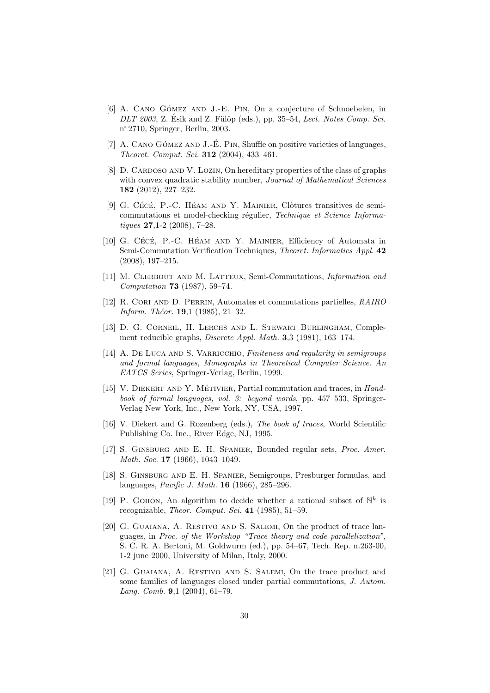- <span id="page-29-10"></span>[6] A. CANO GÓMEZ AND J.-E. PIN, On a conjecture of Schnoebelen, in  $DLT$  2003, Z. Ésik and Z. Fülöp (eds.), pp. 35–54, Lect. Notes Comp. Sci. n˚2710, Springer, Berlin, 2003.
- <span id="page-29-15"></span><span id="page-29-9"></span>[7] A. CANO GÓMEZ AND J.-E. PIN, Shuffle on positive varieties of languages, Theoret. Comput. Sci. 312 (2004), 433–461.
- [8] D. CARDOSO AND V. LOZIN, On hereditary properties of the class of graphs with convex quadratic stability number, *Journal of Mathematical Sciences* 182 (2012), 227–232.
- <span id="page-29-3"></span>[9] G. CÉCÉ, P.-C. HÉAM AND Y. MAINIER, Clôtures transitives de semicommutations et model-checking régulier, Technique et Science Informatiques 27,1-2 (2008), 7–28.
- <span id="page-29-4"></span>[10] G. CÉCÉ, P.-C. HÉAM AND Y. MAINIER, Efficiency of Automata in Semi-Commutation Verification Techniques, Theoret. Informatics Appl. 42 (2008), 197–215.
- <span id="page-29-13"></span>[11] M. Clerbout and M. Latteux, Semi-Commutations, Information and Computation 73 (1987), 59–74.
- <span id="page-29-12"></span>[12] R. Cori and D. Perrin, Automates et commutations partielles, RAIRO Inform. Théor.  $19,1$  (1985), 21-32.
- <span id="page-29-14"></span>[13] D. G. Corneil, H. Lerchs and L. Stewart Burlingham, Complement reducible graphs, Discrete Appl. Math. 3,3 (1981), 163–174.
- <span id="page-29-11"></span>[14] A. DE LUCA AND S. VARRICCHIO, Finiteness and regularity in semigroups and formal languages, Monographs in Theoretical Computer Science. An EATCS Series, Springer-Verlag, Berlin, 1999.
- <span id="page-29-8"></span>[15] V. DIEKERT AND Y. MÉTIVIER, Partial commutation and traces, in Handbook of formal languages, vol. 3: beyond words, pp. 457–533, Springer-Verlag New York, Inc., New York, NY, USA, 1997.
- <span id="page-29-7"></span>[16] V. Diekert and G. Rozenberg (eds.), The book of traces, World Scientific Publishing Co. Inc., River Edge, NJ, 1995.
- <span id="page-29-0"></span>[17] S. Ginsburg and E. H. Spanier, Bounded regular sets, Proc. Amer. Math. Soc. **17** (1966), 1043-1049.
- <span id="page-29-1"></span>[18] S. Ginsburg and E. H. Spanier, Semigroups, Presburger formulas, and languages, Pacific J. Math. 16 (1966), 285–296.
- <span id="page-29-2"></span>[19] P. GOHON, An algorithm to decide whether a rational subset of  $\mathbb{N}^k$  is recognizable, Theor. Comput. Sci. 41 (1985), 51–59.
- <span id="page-29-5"></span>[20] G. GUAIANA, A. RESTIVO AND S. SALEMI, On the product of trace languages, in Proc. of the Workshop "Trace theory and code parallelization", S. C. R. A. Bertoni, M. Goldwurm (ed.), pp. 54–67, Tech. Rep. n.263-00, 1-2 june 2000, University of Milan, Italy, 2000.
- <span id="page-29-6"></span>[21] G. GUAIANA, A. RESTIVO AND S. SALEMI, On the trace product and some families of languages closed under partial commutations, J. Autom. Lang. Comb. 9,1 (2004), 61–79.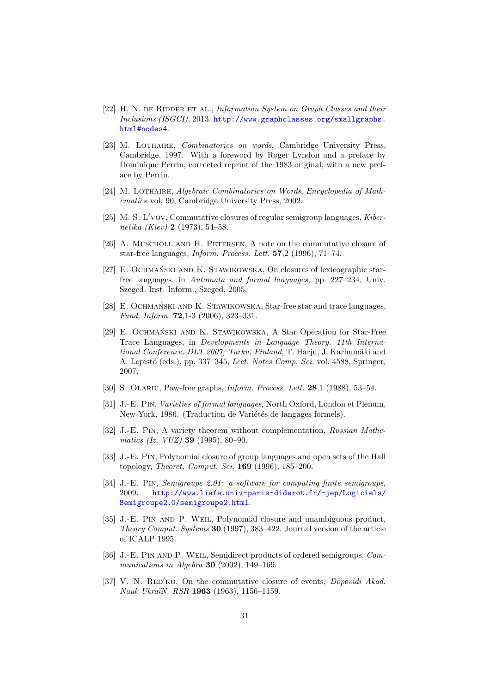- <span id="page-30-13"></span>[22] H. N. DE RIDDER ET AL., Information System on Graph Classes and their Inclusions (ISGCI), 2013. [http://www.graphclasses.org/smallgraphs.](http://www.graphclasses.org/smallgraphs.html#nodes4) [html#nodes4](http://www.graphclasses.org/smallgraphs.html#nodes4).
- <span id="page-30-8"></span>[23] M. Lothaire, Combinatorics on words, Cambridge University Press, Cambridge, 1997. With a foreword by Roger Lyndon and a preface by Dominique Perrin, corrected reprint of the 1983 original, with a new preface by Perrin.
- <span id="page-30-10"></span><span id="page-30-1"></span>[24] M. LOTHAIRE, Algebraic Combinatorics on Words, Encyclopedia of Mathematics vol. 90, Cambridge University Press, 2002.
- [25] M. S. L′vov, Commutative closures of regular semigroup languages, Kibernetika (Kiev) 2 (1973), 54–58.
- <span id="page-30-2"></span>[26] A. Muscholl and H. Petersen, A note on the commutative closure of star-free languages, Inform. Process. Lett. 57,2 (1996), 71–74.
- <span id="page-30-3"></span>[27] E. OCHMAŃSKI AND K. STAWIKOWSKA, On closures of lexicographic starfree languages, in Automata and formal languages, pp. 227–234, Univ. Szeged. Inst. Inform., Szeged, 2005.
- <span id="page-30-4"></span>[28] E. OCHMAŃSKI AND K. STAWIKOWSKA, Star-free star and trace languages, Fund. Inform. 72,1-3 (2006), 323–331.
- <span id="page-30-5"></span>[29] E. OCHMAŃSKI AND K. STAWIKOWSKA, A Star Operation for Star-Free Trace Languages, in Developments in Language Theory, 11th International Conference, DLT 2007, Turku, Finland, T. Harju, J. Karhumäki and A. Lepistö (eds.), pp. 337–345, Lect. Notes Comp. Sci. vol. 4588, Springer, 2007.
- <span id="page-30-14"></span><span id="page-30-9"></span>[30] S. Olariu, Paw-free graphs, Inform. Process. Lett. 28,1 (1988), 53–54.
- [31] J.-E. Pin, Varieties of formal languages, North Oxford, London et Plenum, New-York, 1986. (Traduction de Variétés de langages formels).
- <span id="page-30-7"></span>[32] J.-E. PIN, A variety theorem without complementation, Russian Mathematics (Iz. VUZ) 39 (1995), 80–90.
- <span id="page-30-12"></span>[33] J.-E. Pin, Polynomial closure of group languages and open sets of the Hall topology, Theoret. Comput. Sci. 169 (1996), 185–200.
- <span id="page-30-15"></span>[34] J.-E. Pin, Semigroupe 2.01: a software for computing finite semigroups, 2009. [http://www.liafa.univ-paris-diderot.fr/~jep/Logiciels/](http://www.liafa.univ-paris-diderot.fr/~jep/Logiciels/Semigroupe2.0/semigroupe2.html) [Semigroupe2.0/semigroupe2.html](http://www.liafa.univ-paris-diderot.fr/~jep/Logiciels/Semigroupe2.0/semigroupe2.html).
- <span id="page-30-6"></span>[35] J.-E. Pin and P. Weil, Polynomial closure and unambiguous product, Theory Comput. Systems 30 (1997), 383–422. Journal version of the article of ICALP 1995.
- <span id="page-30-11"></span>[36] J.-E. PIN AND P. WEIL, Semidirect products of ordered semigroups, Communications in Algebra 30 (2002), 149–169.
- <span id="page-30-0"></span>[37] V. N. RED<sup>'</sup>KO, On the commutative closure of events, *Dopovidi Akad.* Nauk Ukra¨ıN. RSR 1963 (1963), 1156–1159.